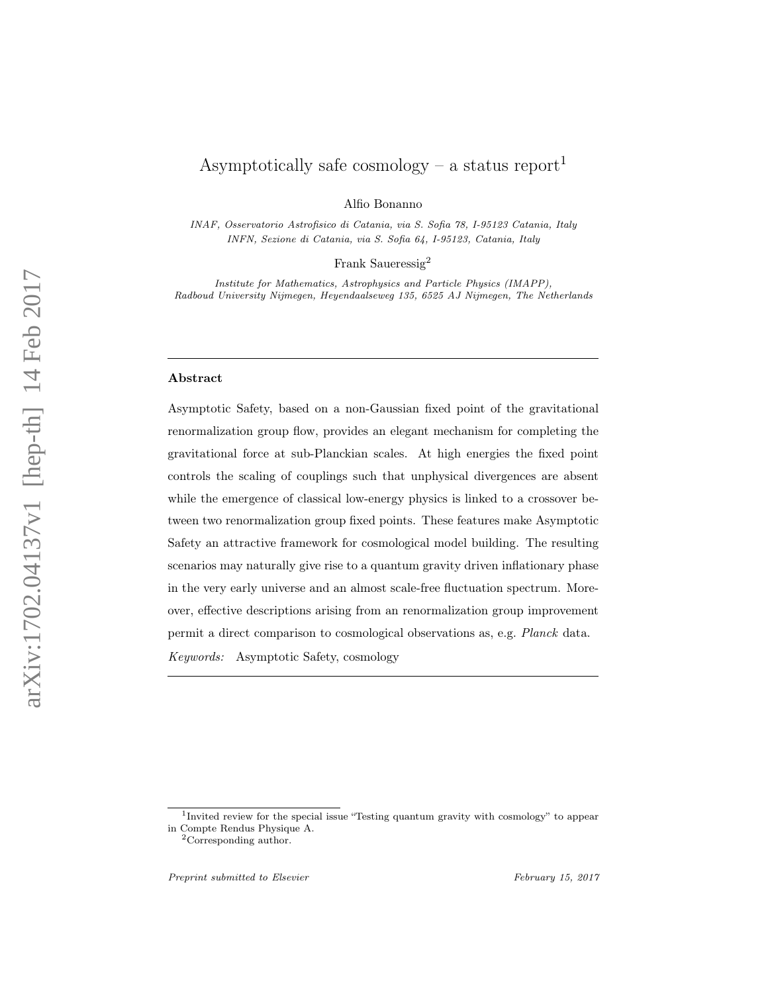# Asymptotically safe cosmology – a status report<sup>1</sup>

Alfio Bonanno

INAF, Osservatorio Astrofisico di Catania, via S. Sofia 78, I-95123 Catania, Italy INFN, Sezione di Catania, via S. Sofia 64, I-95123, Catania, Italy

Frank Saueressig<sup>2</sup>

Institute for Mathematics, Astrophysics and Particle Physics (IMAPP), Radboud University Nijmegen, Heyendaalseweg 135, 6525 AJ Nijmegen, The Netherlands

#### Abstract

Asymptotic Safety, based on a non-Gaussian fixed point of the gravitational renormalization group flow, provides an elegant mechanism for completing the gravitational force at sub-Planckian scales. At high energies the fixed point controls the scaling of couplings such that unphysical divergences are absent while the emergence of classical low-energy physics is linked to a crossover between two renormalization group fixed points. These features make Asymptotic Safety an attractive framework for cosmological model building. The resulting scenarios may naturally give rise to a quantum gravity driven inflationary phase in the very early universe and an almost scale-free fluctuation spectrum. Moreover, effective descriptions arising from an renormalization group improvement permit a direct comparison to cosmological observations as, e.g. Planck data. Keywords: Asymptotic Safety, cosmology

<sup>&</sup>lt;sup>1</sup>Invited review for the special issue "Testing quantum gravity with cosmology" to appear in Compte Rendus Physique A.

<sup>2</sup>Corresponding author.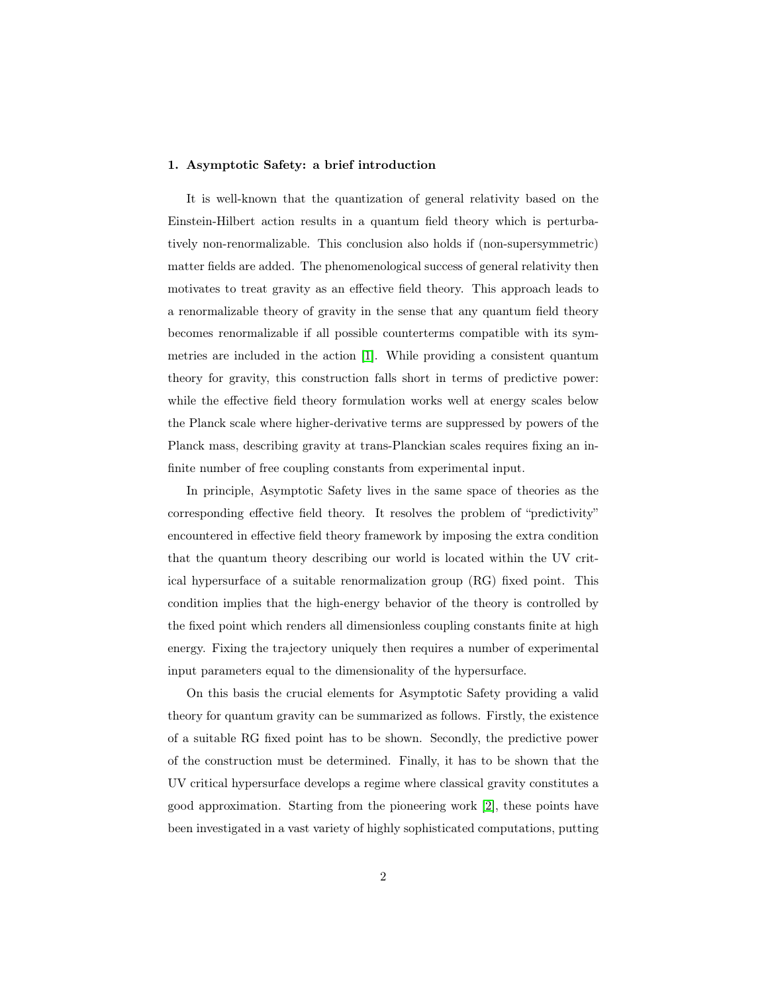#### 1. Asymptotic Safety: a brief introduction

It is well-known that the quantization of general relativity based on the Einstein-Hilbert action results in a quantum field theory which is perturbatively non-renormalizable. This conclusion also holds if (non-supersymmetric) matter fields are added. The phenomenological success of general relativity then motivates to treat gravity as an effective field theory. This approach leads to a renormalizable theory of gravity in the sense that any quantum field theory becomes renormalizable if all possible counterterms compatible with its symmetries are included in the action [\[1\]](#page-19-0). While providing a consistent quantum theory for gravity, this construction falls short in terms of predictive power: while the effective field theory formulation works well at energy scales below the Planck scale where higher-derivative terms are suppressed by powers of the Planck mass, describing gravity at trans-Planckian scales requires fixing an infinite number of free coupling constants from experimental input.

In principle, Asymptotic Safety lives in the same space of theories as the corresponding effective field theory. It resolves the problem of "predictivity" encountered in effective field theory framework by imposing the extra condition that the quantum theory describing our world is located within the UV critical hypersurface of a suitable renormalization group (RG) fixed point. This condition implies that the high-energy behavior of the theory is controlled by the fixed point which renders all dimensionless coupling constants finite at high energy. Fixing the trajectory uniquely then requires a number of experimental input parameters equal to the dimensionality of the hypersurface.

On this basis the crucial elements for Asymptotic Safety providing a valid theory for quantum gravity can be summarized as follows. Firstly, the existence of a suitable RG fixed point has to be shown. Secondly, the predictive power of the construction must be determined. Finally, it has to be shown that the UV critical hypersurface develops a regime where classical gravity constitutes a good approximation. Starting from the pioneering work [\[2\]](#page-19-1), these points have been investigated in a vast variety of highly sophisticated computations, putting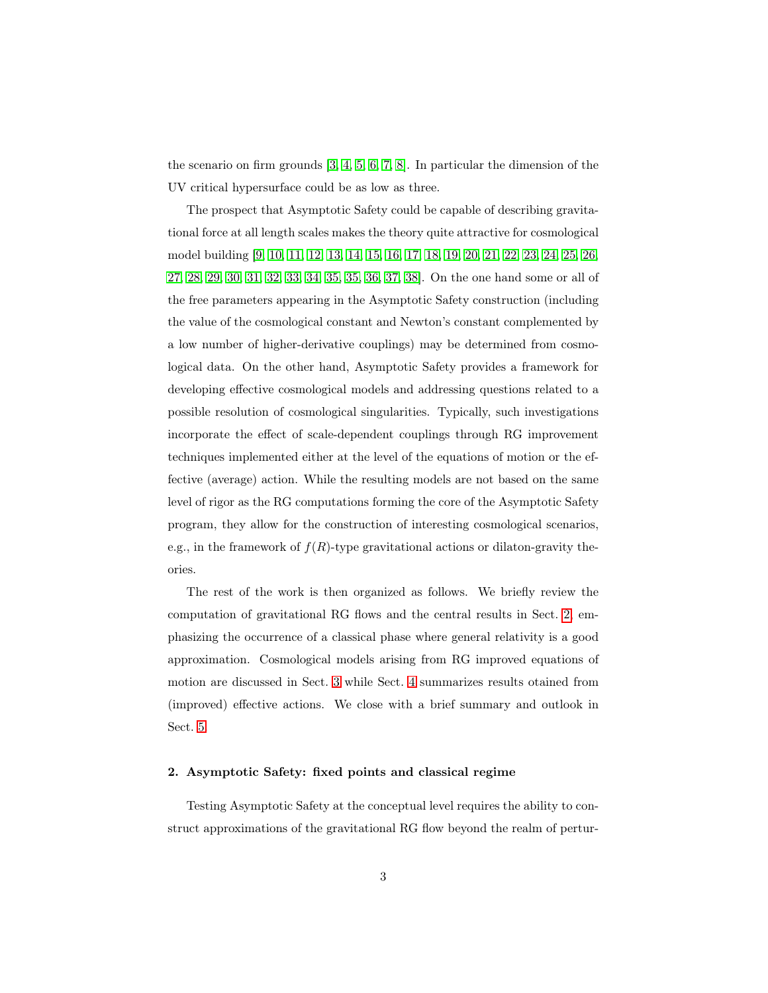the scenario on firm grounds [\[3,](#page-19-2) [4,](#page-19-3) [5,](#page-19-4) [6,](#page-19-5) [7,](#page-19-6) [8\]](#page-19-7). In particular the dimension of the UV critical hypersurface could be as low as three.

The prospect that Asymptotic Safety could be capable of describing gravitational force at all length scales makes the theory quite attractive for cosmological model building [\[9,](#page-19-8) [10,](#page-19-9) [11,](#page-19-10) [12,](#page-19-11) [13,](#page-19-12) [14,](#page-19-13) [15,](#page-19-14) [16,](#page-20-0) [17,](#page-20-1) [18,](#page-20-2) [19,](#page-20-3) [20,](#page-20-4) [21,](#page-20-5) [22,](#page-20-6) [23,](#page-20-7) [24,](#page-20-8) [25,](#page-20-9) [26,](#page-20-10) [27,](#page-20-11) [28,](#page-20-12) [29,](#page-20-13) [30,](#page-20-14) [31,](#page-20-15) [32,](#page-21-0) [33,](#page-21-1) [34,](#page-21-2) [35, 35,](#page-21-3) [36,](#page-21-4) [37,](#page-21-5) [38\]](#page-21-6). On the one hand some or all of the free parameters appearing in the Asymptotic Safety construction (including the value of the cosmological constant and Newton's constant complemented by a low number of higher-derivative couplings) may be determined from cosmological data. On the other hand, Asymptotic Safety provides a framework for developing effective cosmological models and addressing questions related to a possible resolution of cosmological singularities. Typically, such investigations incorporate the effect of scale-dependent couplings through RG improvement techniques implemented either at the level of the equations of motion or the effective (average) action. While the resulting models are not based on the same level of rigor as the RG computations forming the core of the Asymptotic Safety program, they allow for the construction of interesting cosmological scenarios, e.g., in the framework of  $f(R)$ -type gravitational actions or dilaton-gravity theories.

The rest of the work is then organized as follows. We briefly review the computation of gravitational RG flows and the central results in Sect. [2,](#page-2-0) emphasizing the occurrence of a classical phase where general relativity is a good approximation. Cosmological models arising from RG improved equations of motion are discussed in Sect. [3](#page-7-0) while Sect. [4](#page-15-0) summarizes results otained from (improved) effective actions. We close with a brief summary and outlook in Sect. [5.](#page-18-0)

# <span id="page-2-0"></span>2. Asymptotic Safety: fixed points and classical regime

Testing Asymptotic Safety at the conceptual level requires the ability to construct approximations of the gravitational RG flow beyond the realm of pertur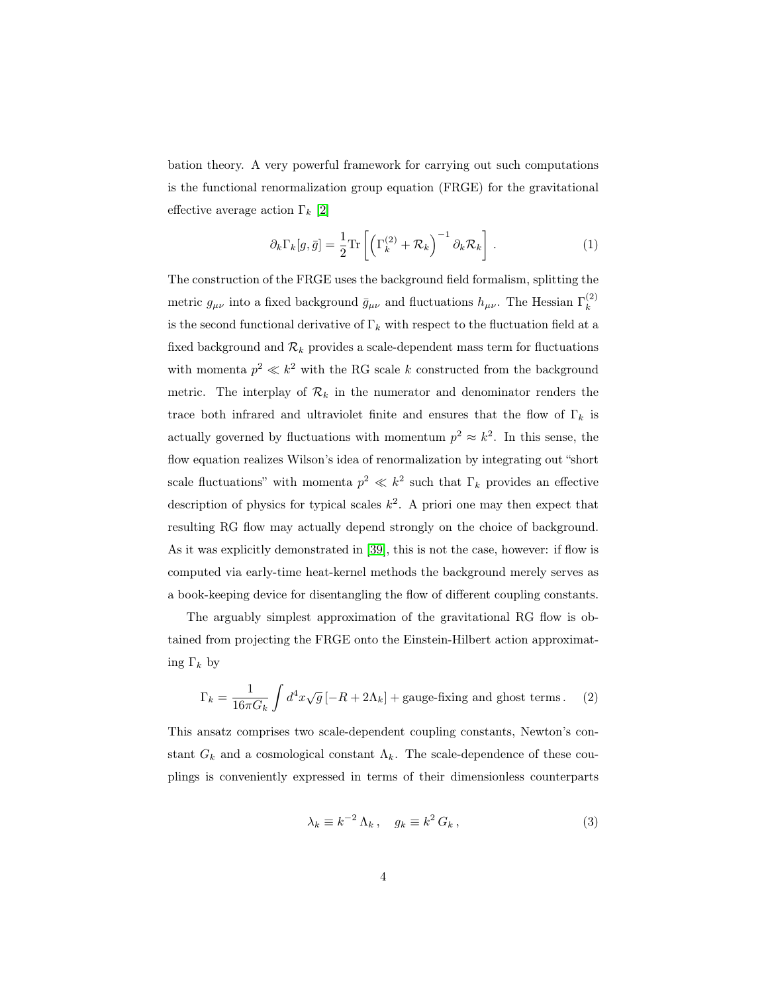bation theory. A very powerful framework for carrying out such computations is the functional renormalization group equation (FRGE) for the gravitational effective average action  $\Gamma_k$  [\[2\]](#page-19-1)

<span id="page-3-1"></span>
$$
\partial_k \Gamma_k[g, \bar{g}] = \frac{1}{2} \text{Tr} \left[ \left( \Gamma_k^{(2)} + \mathcal{R}_k \right)^{-1} \partial_k \mathcal{R}_k \right]. \tag{1}
$$

The construction of the FRGE uses the background field formalism, splitting the metric  $g_{\mu\nu}$  into a fixed background  $\bar{g}_{\mu\nu}$  and fluctuations  $h_{\mu\nu}$ . The Hessian  $\Gamma_k^{(2)}$ k is the second functional derivative of  $\Gamma_k$  with respect to the fluctuation field at a fixed background and  $\mathcal{R}_k$  provides a scale-dependent mass term for fluctuations with momenta  $p^2 \ll k^2$  with the RG scale k constructed from the background metric. The interplay of  $\mathcal{R}_k$  in the numerator and denominator renders the trace both infrared and ultraviolet finite and ensures that the flow of  $\Gamma_k$  is actually governed by fluctuations with momentum  $p^2 \approx k^2$ . In this sense, the flow equation realizes Wilson's idea of renormalization by integrating out "short scale fluctuations" with momenta  $p^2 \ll k^2$  such that  $\Gamma_k$  provides an effective description of physics for typical scales  $k^2$ . A priori one may then expect that resulting RG flow may actually depend strongly on the choice of background. As it was explicitly demonstrated in [\[39\]](#page-21-7), this is not the case, however: if flow is computed via early-time heat-kernel methods the background merely serves as a book-keeping device for disentangling the flow of different coupling constants.

The arguably simplest approximation of the gravitational RG flow is obtained from projecting the FRGE onto the Einstein-Hilbert action approximating  $\Gamma_k$  by

<span id="page-3-0"></span>
$$
\Gamma_k = \frac{1}{16\pi G_k} \int d^4x \sqrt{g} \left[ -R + 2\Lambda_k \right] + \text{gauge-fixing and ghost terms.} \tag{2}
$$

This ansatz comprises two scale-dependent coupling constants, Newton's constant  $G_k$  and a cosmological constant  $\Lambda_k$ . The scale-dependence of these couplings is conveniently expressed in terms of their dimensionless counterparts

$$
\lambda_k \equiv k^{-2} \Lambda_k \,, \quad g_k \equiv k^2 \, G_k \,, \tag{3}
$$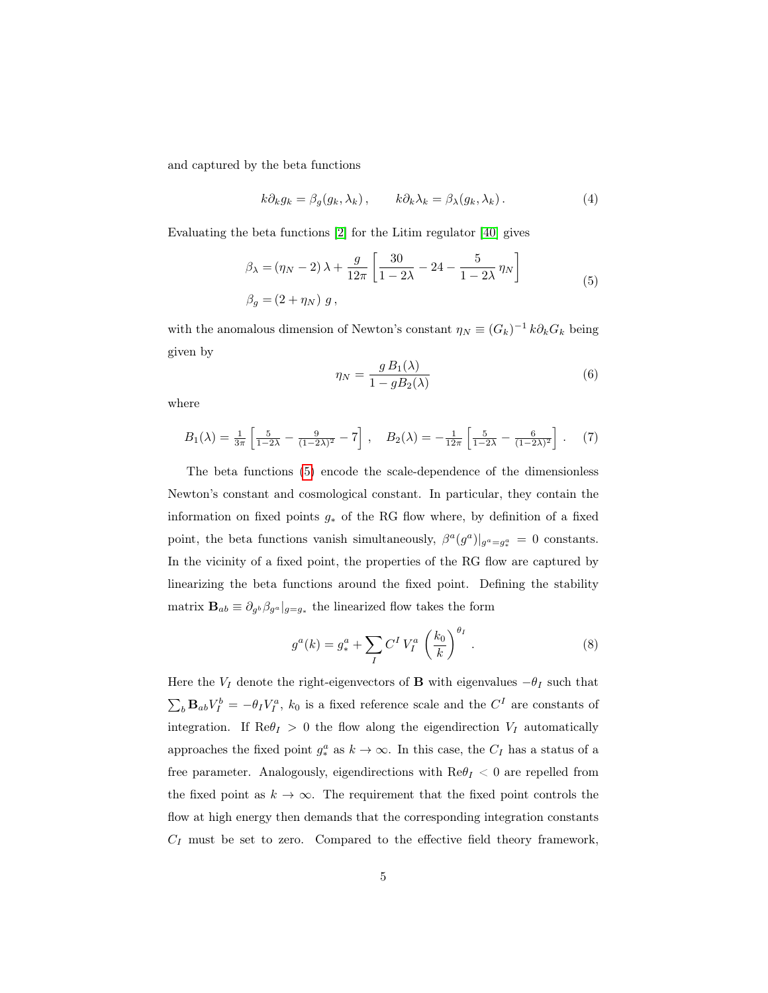and captured by the beta functions

$$
k\partial_k g_k = \beta_g(g_k, \lambda_k), \qquad k\partial_k \lambda_k = \beta_\lambda(g_k, \lambda_k). \tag{4}
$$

Evaluating the beta functions [\[2\]](#page-19-1) for the Litim regulator [\[40\]](#page-21-8) gives

$$
\beta_{\lambda} = (\eta_N - 2) \lambda + \frac{g}{12\pi} \left[ \frac{30}{1 - 2\lambda} - 24 - \frac{5}{1 - 2\lambda} \eta_N \right] \n\beta_g = (2 + \eta_N) g,
$$
\n(5)

with the anomalous dimension of Newton's constant  $\eta_N \equiv (G_k)^{-1} k \partial_k G_k$  being given by

<span id="page-4-0"></span>
$$
\eta_N = \frac{g B_1(\lambda)}{1 - g B_2(\lambda)}\tag{6}
$$

where

$$
B_1(\lambda) = \frac{1}{3\pi} \left[ \frac{5}{1-2\lambda} - \frac{9}{(1-2\lambda)^2} - 7 \right], \quad B_2(\lambda) = -\frac{1}{12\pi} \left[ \frac{5}{1-2\lambda} - \frac{6}{(1-2\lambda)^2} \right]. \tag{7}
$$

The beta functions [\(5\)](#page-4-0) encode the scale-dependence of the dimensionless Newton's constant and cosmological constant. In particular, they contain the information on fixed points  $g_*$  of the RG flow where, by definition of a fixed point, the beta functions vanish simultaneously,  $\beta^a(g^a)|_{g^a=g^a_*}=0$  constants. In the vicinity of a fixed point, the properties of the RG flow are captured by linearizing the beta functions around the fixed point. Defining the stability matrix  $\mathbf{B}_{ab} \equiv \partial_{g^b} \beta_{g^a} |_{g=g_*}$  the linearized flow takes the form

$$
g^{a}(k) = g_{*}^{a} + \sum_{I} C^{I} V_{I}^{a} \left(\frac{k_{0}}{k}\right)^{\theta_{I}}.
$$
 (8)

Here the  $V_I$  denote the right-eigenvectors of **B** with eigenvalues  $-\theta_I$  such that  $\sum_b \mathbf{B}_{ab} V_I^b = -\theta_I V_I^a$ ,  $k_0$  is a fixed reference scale and the  $C^I$  are constants of integration. If  $\text{Re}\theta_I > 0$  the flow along the eigendirection  $V_I$  automatically approaches the fixed point  $g^a_*$  as  $k \to \infty$ . In this case, the  $C_I$  has a status of a free parameter. Analogously, eigendirections with  $\text{Re}\theta_I < 0$  are repelled from the fixed point as  $k \to \infty$ . The requirement that the fixed point controls the flow at high energy then demands that the corresponding integration constants  $C_I$  must be set to zero. Compared to the effective field theory framework,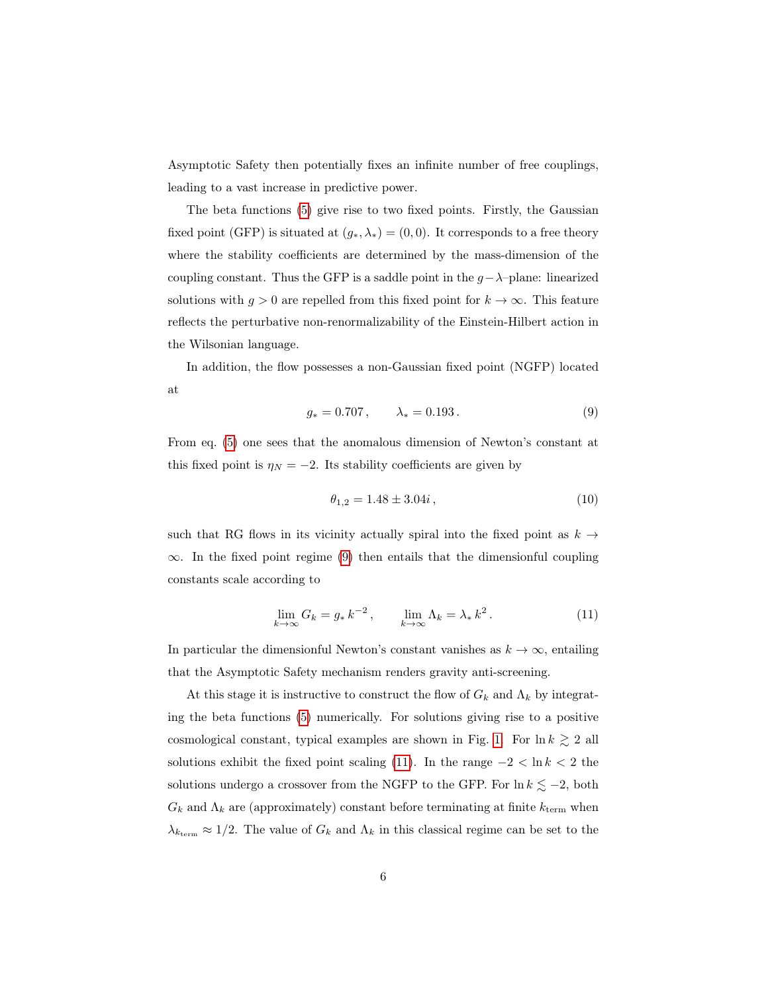Asymptotic Safety then potentially fixes an infinite number of free couplings, leading to a vast increase in predictive power.

The beta functions [\(5\)](#page-4-0) give rise to two fixed points. Firstly, the Gaussian fixed point (GFP) is situated at  $(g_*, \lambda_*) = (0, 0)$ . It corresponds to a free theory where the stability coefficients are determined by the mass-dimension of the coupling constant. Thus the GFP is a saddle point in the  $q-\lambda$ –plane: linearized solutions with  $g > 0$  are repelled from this fixed point for  $k \to \infty$ . This feature reflects the perturbative non-renormalizability of the Einstein-Hilbert action in the Wilsonian language.

<span id="page-5-0"></span>In addition, the flow possesses a non-Gaussian fixed point (NGFP) located at

$$
g_* = 0.707, \qquad \lambda_* = 0.193. \tag{9}
$$

From eq. [\(5\)](#page-4-0) one sees that the anomalous dimension of Newton's constant at this fixed point is  $\eta_N = -2$ . Its stability coefficients are given by

<span id="page-5-1"></span>
$$
\theta_{1,2} = 1.48 \pm 3.04i \,, \tag{10}
$$

such that RG flows in its vicinity actually spiral into the fixed point as  $k \rightarrow$  $\infty$ . In the fixed point regime [\(9\)](#page-5-0) then entails that the dimensionful coupling constants scale according to

$$
\lim_{k \to \infty} G_k = g_* k^{-2}, \qquad \lim_{k \to \infty} \Lambda_k = \lambda_* k^2.
$$
\n(11)

In particular the dimensionful Newton's constant vanishes as  $k \to \infty$ , entailing that the Asymptotic Safety mechanism renders gravity anti-screening.

At this stage it is instructive to construct the flow of  $G_k$  and  $\Lambda_k$  by integrating the beta functions [\(5\)](#page-4-0) numerically. For solutions giving rise to a positive cosmological constant, typical examples are shown in Fig. [1.](#page-6-0) For  $\ln k \gtrsim 2$  all solutions exhibit the fixed point scaling [\(11\)](#page-5-1). In the range  $-2 < \ln k < 2$  the solutions undergo a crossover from the NGFP to the GFP. For  $\ln k \lesssim -2$ , both  $G_k$  and  $\Lambda_k$  are (approximately) constant before terminating at finite  $k_{\text{term}}$  when  $\lambda_{k_{\text{term}}} \approx 1/2$ . The value of  $G_k$  and  $\Lambda_k$  in this classical regime can be set to the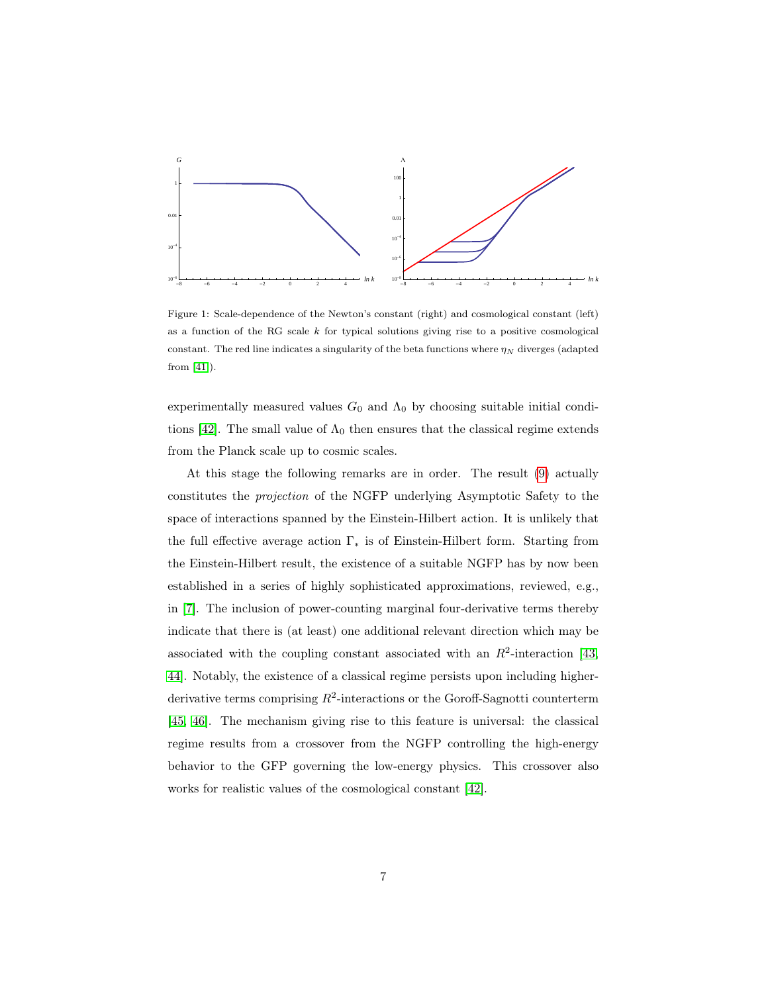

<span id="page-6-0"></span>Figure 1: Scale-dependence of the Newton's constant (right) and cosmological constant (left) as a function of the RG scale  $k$  for typical solutions giving rise to a positive cosmological constant. The red line indicates a singularity of the beta functions where  $\eta_N$  diverges (adapted from [\[41\]](#page-21-9)).

experimentally measured values  $G_0$  and  $\Lambda_0$  by choosing suitable initial condi-tions [\[42\]](#page-21-10). The small value of  $\Lambda_0$  then ensures that the classical regime extends from the Planck scale up to cosmic scales.

At this stage the following remarks are in order. The result [\(9\)](#page-5-0) actually constitutes the projection of the NGFP underlying Asymptotic Safety to the space of interactions spanned by the Einstein-Hilbert action. It is unlikely that the full effective average action  $\Gamma_*$  is of Einstein-Hilbert form. Starting from the Einstein-Hilbert result, the existence of a suitable NGFP has by now been established in a series of highly sophisticated approximations, reviewed, e.g., in [\[7\]](#page-19-6). The inclusion of power-counting marginal four-derivative terms thereby indicate that there is (at least) one additional relevant direction which may be associated with the coupling constant associated with an  $R^2$ -interaction [\[43,](#page-21-11) [44\]](#page-21-12). Notably, the existence of a classical regime persists upon including higherderivative terms comprising  $R^2$ -interactions or the Goroff-Sagnotti counterterm [\[45,](#page-21-13) [46\]](#page-21-14). The mechanism giving rise to this feature is universal: the classical regime results from a crossover from the NGFP controlling the high-energy behavior to the GFP governing the low-energy physics. This crossover also works for realistic values of the cosmological constant [\[42\]](#page-21-10).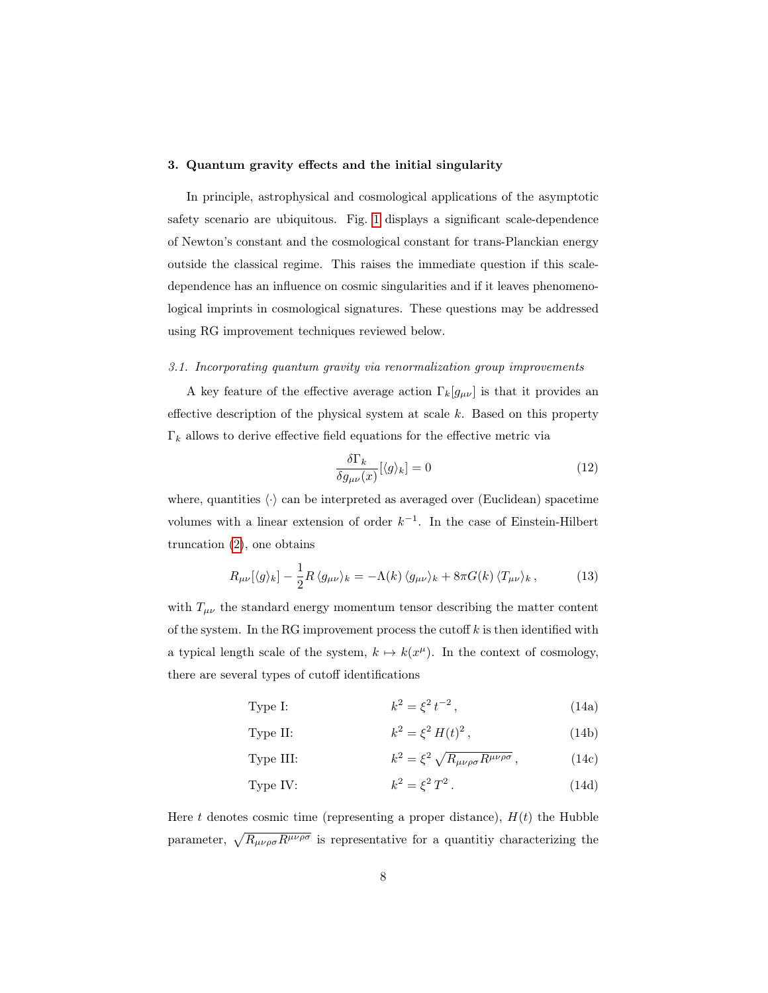#### <span id="page-7-0"></span>3. Quantum gravity effects and the initial singularity

In principle, astrophysical and cosmological applications of the asymptotic safety scenario are ubiquitous. Fig. [1](#page-6-0) displays a significant scale-dependence of Newton's constant and the cosmological constant for trans-Planckian energy outside the classical regime. This raises the immediate question if this scaledependence has an influence on cosmic singularities and if it leaves phenomenological imprints in cosmological signatures. These questions may be addressed using RG improvement techniques reviewed below.

#### 3.1. Incorporating quantum gravity via renormalization group improvements

A key feature of the effective average action  $\Gamma_k[g_{\mu\nu}]$  is that it provides an effective description of the physical system at scale  $k$ . Based on this property  $\Gamma_k$  allows to derive effective field equations for the effective metric via

<span id="page-7-1"></span>
$$
\frac{\delta\Gamma_k}{\delta g_{\mu\nu}(x)}[\langle g\rangle_k] = 0\tag{12}
$$

where, quantities  $\langle \cdot \rangle$  can be interpreted as averaged over (Euclidean) spacetime volumes with a linear extension of order  $k^{-1}$ . In the case of Einstein-Hilbert truncation [\(2\)](#page-3-0), one obtains

$$
R_{\mu\nu}[\langle g \rangle_k] - \frac{1}{2} R \langle g_{\mu\nu} \rangle_k = -\Lambda(k) \langle g_{\mu\nu} \rangle_k + 8\pi G(k) \langle T_{\mu\nu} \rangle_k, \qquad (13)
$$

with  $T_{\mu\nu}$  the standard energy momentum tensor describing the matter content of the system. In the RG improvement process the cutoff  $k$  is then identified with a typical length scale of the system,  $k \mapsto k(x^{\mu})$ . In the context of cosmology, there are several types of cutoff identifications

> <span id="page-7-3"></span>Type I:  $t^2 = \xi^2 t^{-2}$  $(14a)$

<span id="page-7-2"></span>Type II: 
$$
k^2 = \xi^2 H(t)^2, \qquad (14b)
$$

Type III: 
$$
k^2 = \xi^2 \sqrt{R_{\mu\nu\rho\sigma} R^{\mu\nu\rho\sigma}}, \qquad (14c)
$$

Type IV: 
$$
k^2 = \xi^2 T^2. \tag{14d}
$$

Here t denotes cosmic time (representing a proper distance),  $H(t)$  the Hubble parameter,  $\sqrt{R_{\mu\nu\rho\sigma}R^{\mu\nu\rho\sigma}}$  is representative for a quantitiy characterizing the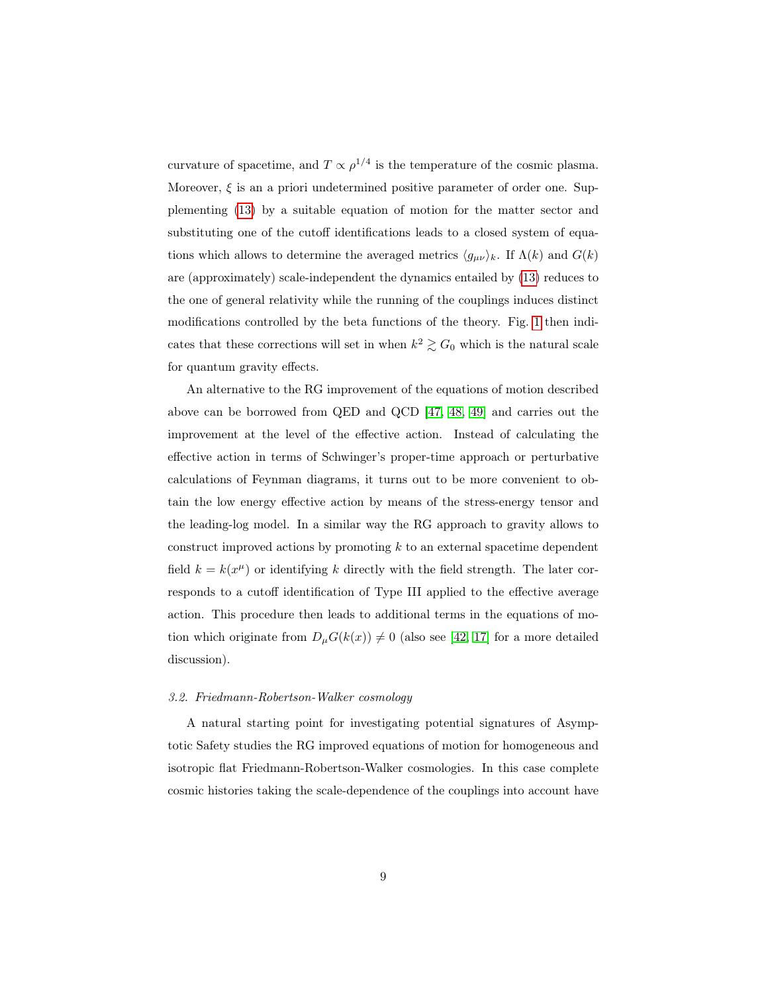curvature of spacetime, and  $T \propto \rho^{1/4}$  is the temperature of the cosmic plasma. Moreover,  $\xi$  is an a priori undetermined positive parameter of order one. Supplementing [\(13\)](#page-7-1) by a suitable equation of motion for the matter sector and substituting one of the cutoff identifications leads to a closed system of equations which allows to determine the averaged metrics  $\langle g_{\mu\nu}\rangle_k$ . If  $\Lambda(k)$  and  $G(k)$ are (approximately) scale-independent the dynamics entailed by [\(13\)](#page-7-1) reduces to the one of general relativity while the running of the couplings induces distinct modifications controlled by the beta functions of the theory. Fig. [1](#page-6-0) then indicates that these corrections will set in when  $k^2 \gtrsim G_0$  which is the natural scale for quantum gravity effects.

An alternative to the RG improvement of the equations of motion described above can be borrowed from QED and QCD [\[47,](#page-21-15) [48,](#page-22-0) [49\]](#page-22-1) and carries out the improvement at the level of the effective action. Instead of calculating the effective action in terms of Schwinger's proper-time approach or perturbative calculations of Feynman diagrams, it turns out to be more convenient to obtain the low energy effective action by means of the stress-energy tensor and the leading-log model. In a similar way the RG approach to gravity allows to construct improved actions by promoting  $k$  to an external spacetime dependent field  $k = k(x^{\mu})$  or identifying k directly with the field strength. The later corresponds to a cutoff identification of Type III applied to the effective average action. This procedure then leads to additional terms in the equations of motion which originate from  $D_{\mu}G(k(x)) \neq 0$  (also see [\[42,](#page-21-10) [17\]](#page-20-1) for a more detailed discussion).

#### 3.2. Friedmann-Robertson-Walker cosmology

A natural starting point for investigating potential signatures of Asymptotic Safety studies the RG improved equations of motion for homogeneous and isotropic flat Friedmann-Robertson-Walker cosmologies. In this case complete cosmic histories taking the scale-dependence of the couplings into account have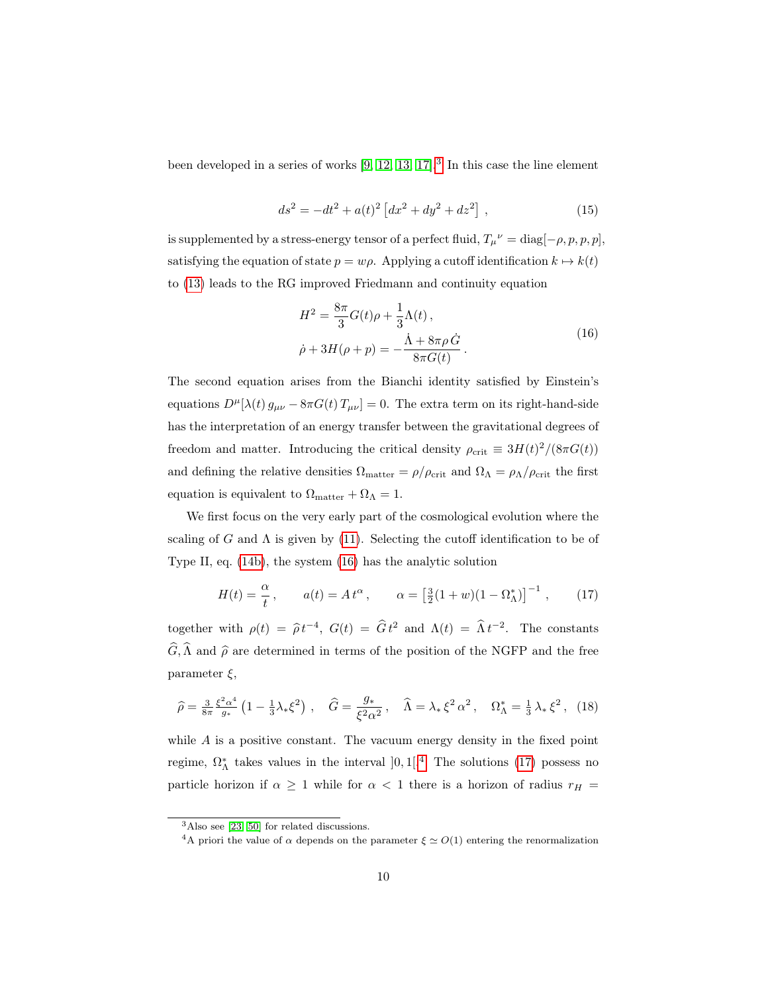been developed in a series of works  $[9, 12, 13, 17]$  $[9, 12, 13, 17]$  $[9, 12, 13, 17]$  $[9, 12, 13, 17]$ .<sup>[3](#page-9-0)</sup> In this case the line element

$$
ds^{2} = -dt^{2} + a(t)^{2} \left[ dx^{2} + dy^{2} + dz^{2} \right],
$$
\n(15)

is supplemented by a stress-energy tensor of a perfect fluid,  $T_{\mu}^{\ \nu} = \text{diag}[-\rho, p, p, p]$ , satisfying the equation of state  $p = w\rho$ . Applying a cutoff identification  $k \mapsto k(t)$ to [\(13\)](#page-7-1) leads to the RG improved Friedmann and continuity equation

<span id="page-9-1"></span>
$$
H^{2} = \frac{8\pi}{3}G(t)\rho + \frac{1}{3}\Lambda(t),
$$
  
\n
$$
\dot{\rho} + 3H(\rho + p) = -\frac{\dot{\Lambda} + 8\pi\rho \dot{G}}{8\pi G(t)}.
$$
\n(16)

The second equation arises from the Bianchi identity satisfied by Einstein's equations  $D^{\mu}[\lambda(t) g_{\mu\nu} - 8\pi G(t) T_{\mu\nu}] = 0$ . The extra term on its right-hand-side has the interpretation of an energy transfer between the gravitational degrees of freedom and matter. Introducing the critical density  $\rho_{\rm crit} \equiv 3H(t)^2/(8\pi G(t))$ and defining the relative densities  $\Omega_{\text{matter}} = \rho / \rho_{\text{crit}}$  and  $\Omega_{\Lambda} = \rho_{\Lambda} / \rho_{\text{crit}}$  the first equation is equivalent to  $\Omega_{\text{matter}} + \Omega_{\Lambda} = 1$ .

We first focus on the very early part of the cosmological evolution where the scaling of G and  $\Lambda$  is given by [\(11\)](#page-5-1). Selecting the cutoff identification to be of Type II, eq. [\(14b\)](#page-7-2), the system [\(16\)](#page-9-1) has the analytic solution

<span id="page-9-3"></span>
$$
H(t) = \frac{\alpha}{t}, \qquad a(t) = At^{\alpha}, \qquad \alpha = \left[\frac{3}{2}(1+w)(1-\Omega_{\Lambda}^{*})\right]^{-1}, \qquad (17)
$$

together with  $\rho(t) = \hat{\rho} t^{-4}$ ,  $G(t) = \hat{G} t^2$  and  $\Lambda(t) = \hat{\Lambda} t^{-2}$ . The constants  $\widehat{G}, \widehat{\Lambda}$  and  $\widehat{\rho}$  are determined in terms of the position of the NGFP and the free parameter  $\xi$ ,

$$
\hat{\rho} = \frac{3}{8\pi} \frac{\xi^2 \alpha^4}{g_*} \left( 1 - \frac{1}{3} \lambda_* \xi^2 \right) , \quad \hat{G} = \frac{g_*}{\xi^2 \alpha^2} , \quad \hat{\Lambda} = \lambda_* \xi^2 \alpha^2 , \quad \Omega_{\Lambda}^* = \frac{1}{3} \lambda_* \xi^2 , \tag{18}
$$

while  $A$  is a positive constant. The vacuum energy density in the fixed point regime,  $\Omega_{\Lambda}^{*}$  takes values in the interval  $]0,1[^{4}$  $]0,1[^{4}$  $]0,1[^{4}$  The solutions [\(17\)](#page-9-3) possess no particle horizon if  $\alpha \ge 1$  while for  $\alpha < 1$  there is a horizon of radius  $r_H$  =

<span id="page-9-0"></span><sup>3</sup>Also see [\[23,](#page-20-7) [50\]](#page-22-2) for related discussions.

<span id="page-9-2"></span><sup>&</sup>lt;sup>4</sup>A priori the value of  $\alpha$  depends on the parameter  $\xi \simeq O(1)$  entering the renormalization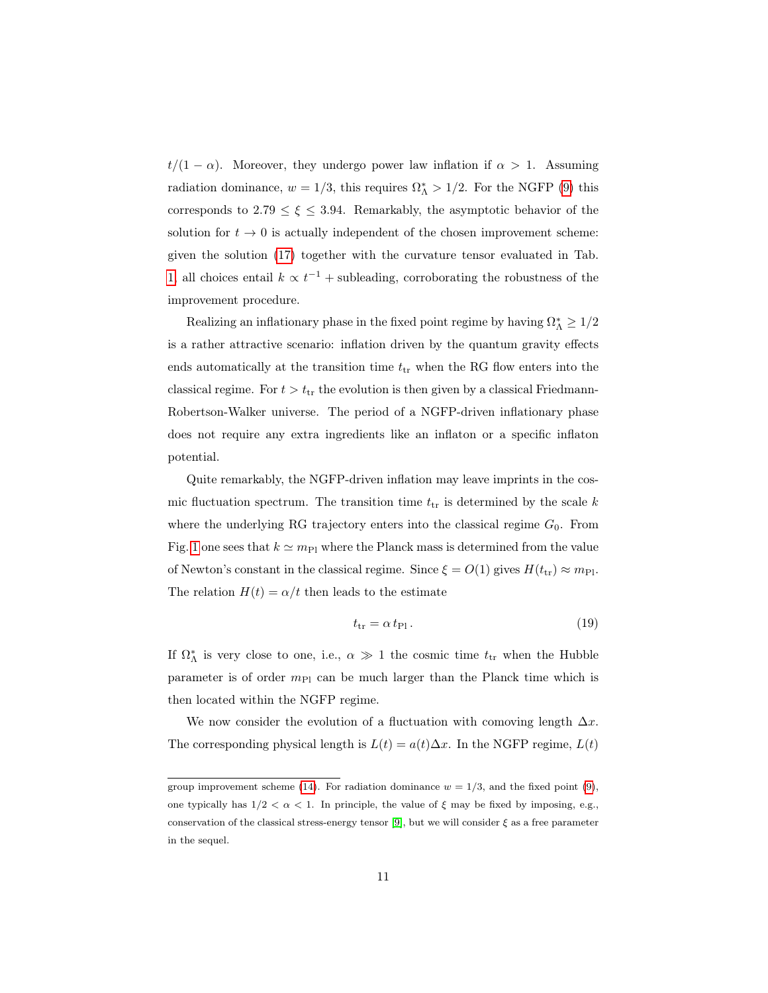$t/(1 - \alpha)$ . Moreover, they undergo power law inflation if  $\alpha > 1$ . Assuming radiation dominance,  $w = 1/3$ , this requires  $\Omega_{\Lambda}^* > 1/2$ . For the NGFP [\(9\)](#page-5-0) this corresponds to  $2.79 \leq \xi \leq 3.94$ . Remarkably, the asymptotic behavior of the solution for  $t\to 0$  is actually independent of the chosen improvement scheme: given the solution [\(17\)](#page-9-3) together with the curvature tensor evaluated in Tab. [1,](#page-13-0) all choices entail  $k \propto t^{-1}$  + subleading, corroborating the robustness of the improvement procedure.

Realizing an inflationary phase in the fixed point regime by having  $\Omega^*_\Lambda \geq 1/2$ is a rather attractive scenario: inflation driven by the quantum gravity effects ends automatically at the transition time  $t_{tr}$  when the RG flow enters into the classical regime. For  $t > t_{tr}$  the evolution is then given by a classical Friedmann-Robertson-Walker universe. The period of a NGFP-driven inflationary phase does not require any extra ingredients like an inflaton or a specific inflaton potential.

Quite remarkably, the NGFP-driven inflation may leave imprints in the cosmic fluctuation spectrum. The transition time  $t_{tr}$  is determined by the scale k where the underlying RG trajectory enters into the classical regime  $G_0$ . From Fig. [1](#page-6-0) one sees that  $k \simeq m_{\text{Pl}}$  where the Planck mass is determined from the value of Newton's constant in the classical regime. Since  $\xi = O(1)$  gives  $H(t_{tr}) \approx m_{\text{Pl}}$ . The relation  $H(t) = \alpha/t$  then leads to the estimate

$$
t_{\rm tr} = \alpha \, t_{\rm Pl} \,. \tag{19}
$$

If  $\Omega_{\Lambda}^*$  is very close to one, i.e.,  $\alpha \gg 1$  the cosmic time  $t_{tr}$  when the Hubble parameter is of order  $m_{\text{Pl}}$  can be much larger than the Planck time which is then located within the NGFP regime.

We now consider the evolution of a fluctuation with comoving length  $\Delta x$ . The corresponding physical length is  $L(t) = a(t)\Delta x$ . In the NGFP regime,  $L(t)$ 

group improvement scheme [\(14\)](#page-7-3). For radiation dominance  $w = 1/3$ , and the fixed point [\(9\)](#page-5-0), one typically has  $1/2 < \alpha < 1$ . In principle, the value of  $\xi$  may be fixed by imposing, e.g., conservation of the classical stress-energy tensor [\[9\]](#page-19-8), but we will consider  $\xi$  as a free parameter in the sequel.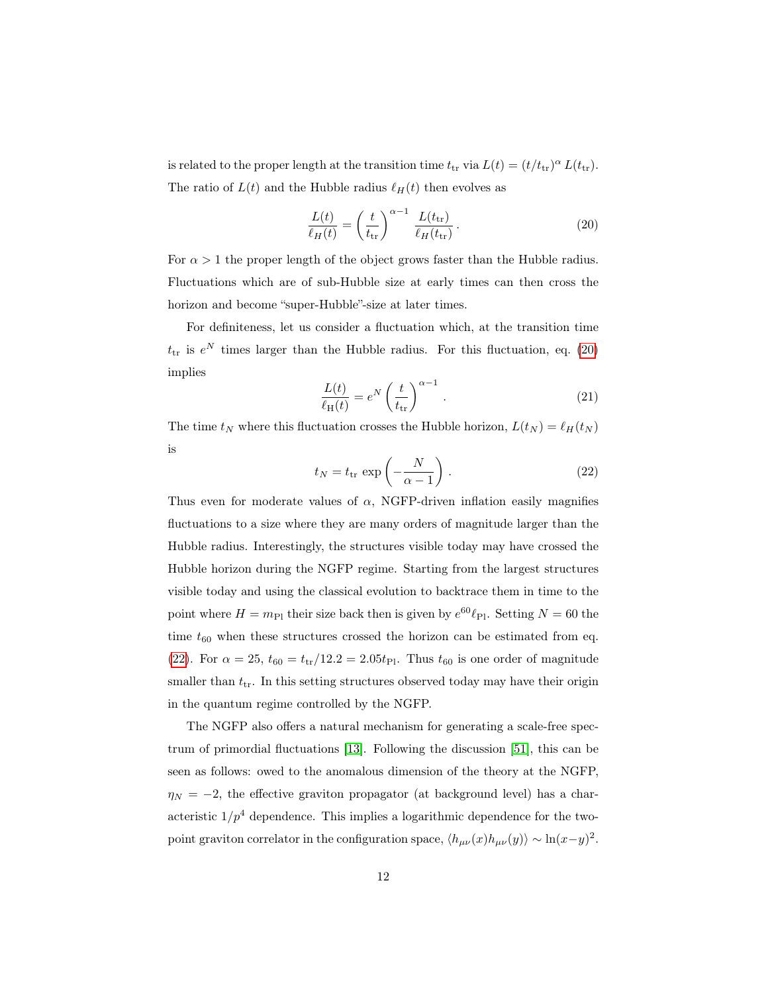is related to the proper length at the transition time  $t_{tr}$  via  $L(t) = (t/t_{tr})^{\alpha} L(t_{tr}).$ The ratio of  $L(t)$  and the Hubble radius  $\ell_H(t)$  then evolves as

<span id="page-11-0"></span>
$$
\frac{L(t)}{\ell_H(t)} = \left(\frac{t}{t_{\rm tr}}\right)^{\alpha - 1} \frac{L(t_{\rm tr})}{\ell_H(t_{\rm tr})}.
$$
\n(20)

For  $\alpha > 1$  the proper length of the object grows faster than the Hubble radius. Fluctuations which are of sub-Hubble size at early times can then cross the horizon and become "super-Hubble"-size at later times.

For definiteness, let us consider a fluctuation which, at the transition time  $t_{\text{tr}}$  is  $e^N$  times larger than the Hubble radius. For this fluctuation, eq. [\(20\)](#page-11-0) implies

$$
\frac{L(t)}{\ell_{\rm H}(t)} = e^N \left(\frac{t}{t_{\rm tr}}\right)^{\alpha - 1}.
$$
\n(21)

<span id="page-11-1"></span>The time  $t_N$  where this fluctuation crosses the Hubble horizon,  $L(t_N) = \ell_H(t_N)$ is

$$
t_N = t_{\rm tr} \exp\left(-\frac{N}{\alpha - 1}\right). \tag{22}
$$

Thus even for moderate values of  $\alpha$ , NGFP-driven inflation easily magnifies fluctuations to a size where they are many orders of magnitude larger than the Hubble radius. Interestingly, the structures visible today may have crossed the Hubble horizon during the NGFP regime. Starting from the largest structures visible today and using the classical evolution to backtrace them in time to the point where  $H = m_{\text{Pl}}$  their size back then is given by  $e^{60} \ell_{\text{Pl}}$ . Setting  $N = 60$  the time  $t_{60}$  when these structures crossed the horizon can be estimated from eq. [\(22\)](#page-11-1). For  $\alpha = 25$ ,  $t_{60} = t_{tr}/12.2 = 2.05t_{Pl}$ . Thus  $t_{60}$  is one order of magnitude smaller than  $t_{tr}$ . In this setting structures observed today may have their origin in the quantum regime controlled by the NGFP.

The NGFP also offers a natural mechanism for generating a scale-free spectrum of primordial fluctuations [\[13\]](#page-19-12). Following the discussion [\[51\]](#page-22-3), this can be seen as follows: owed to the anomalous dimension of the theory at the NGFP,  $\eta_N = -2$ , the effective graviton propagator (at background level) has a characteristic  $1/p^4$  dependence. This implies a logarithmic dependence for the twopoint graviton correlator in the configuration space,  $\langle h_{\mu\nu}(x)h_{\mu\nu}(y)\rangle \sim \ln(x-y)^2$ .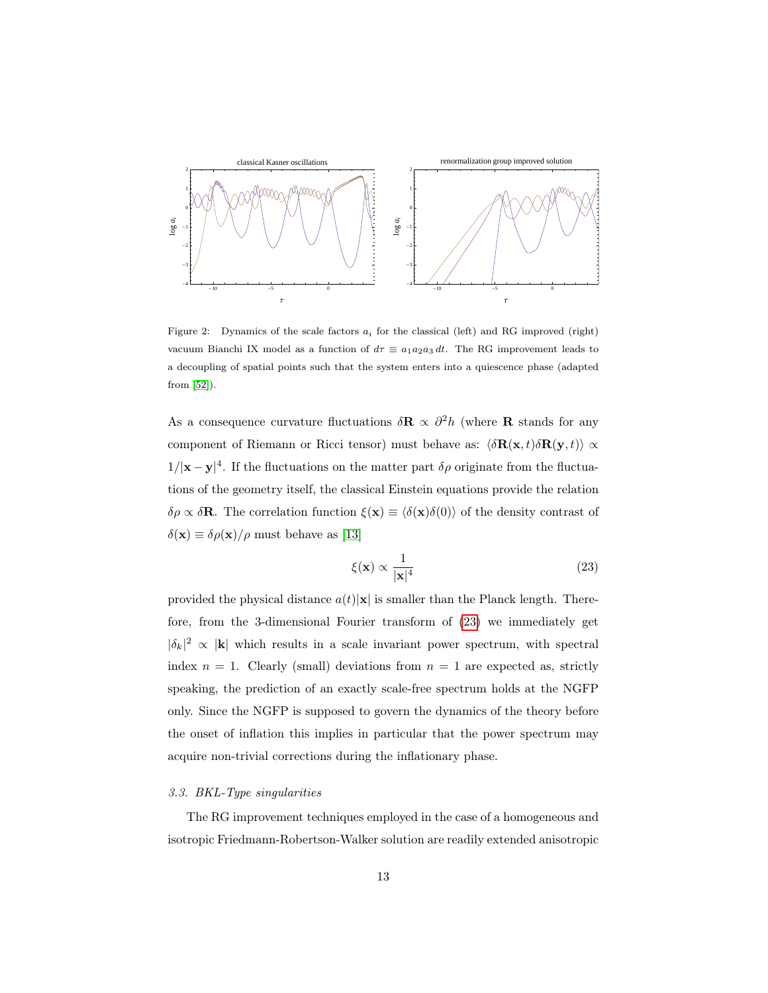

<span id="page-12-1"></span>Figure 2: Dynamics of the scale factors  $a_i$  for the classical (left) and RG improved (right) vacuum Bianchi IX model as a function of  $d\tau \equiv a_1a_2a_3 dt$ . The RG improvement leads to a decoupling of spatial points such that the system enters into a quiescence phase (adapted from [\[52\]](#page-22-4)).

As a consequence curvature fluctuations  $\delta \mathbf{R} \propto \partial^2 h$  (where **R** stands for any component of Riemann or Ricci tensor) must behave as:  $\langle \delta \mathbf{R}(\mathbf{x}, t) \delta \mathbf{R}(\mathbf{y}, t) \rangle \propto$  $1/|x-y|^4$ . If the fluctuations on the matter part  $\delta \rho$  originate from the fluctuations of the geometry itself, the classical Einstein equations provide the relation  $\delta \rho \propto \delta \mathbf{R}$ . The correlation function  $\xi(\mathbf{x}) \equiv \langle \delta(\mathbf{x})\delta(0) \rangle$  of the density contrast of  $\delta(\mathbf{x}) \equiv \delta \rho(\mathbf{x})/\rho$  must behave as [\[13\]](#page-19-12)

<span id="page-12-0"></span>
$$
\xi(\mathbf{x}) \propto \frac{1}{|\mathbf{x}|^4} \tag{23}
$$

provided the physical distance  $a(t)|\mathbf{x}|$  is smaller than the Planck length. Therefore, from the 3-dimensional Fourier transform of [\(23\)](#page-12-0) we immediately get  $|\delta_k|^2 \propto |\mathbf{k}|$  which results in a scale invariant power spectrum, with spectral index  $n = 1$ . Clearly (small) deviations from  $n = 1$  are expected as, strictly speaking, the prediction of an exactly scale-free spectrum holds at the NGFP only. Since the NGFP is supposed to govern the dynamics of the theory before the onset of inflation this implies in particular that the power spectrum may acquire non-trivial corrections during the inflationary phase.

#### 3.3. BKL-Type singularities

The RG improvement techniques employed in the case of a homogeneous and isotropic Friedmann-Robertson-Walker solution are readily extended anisotropic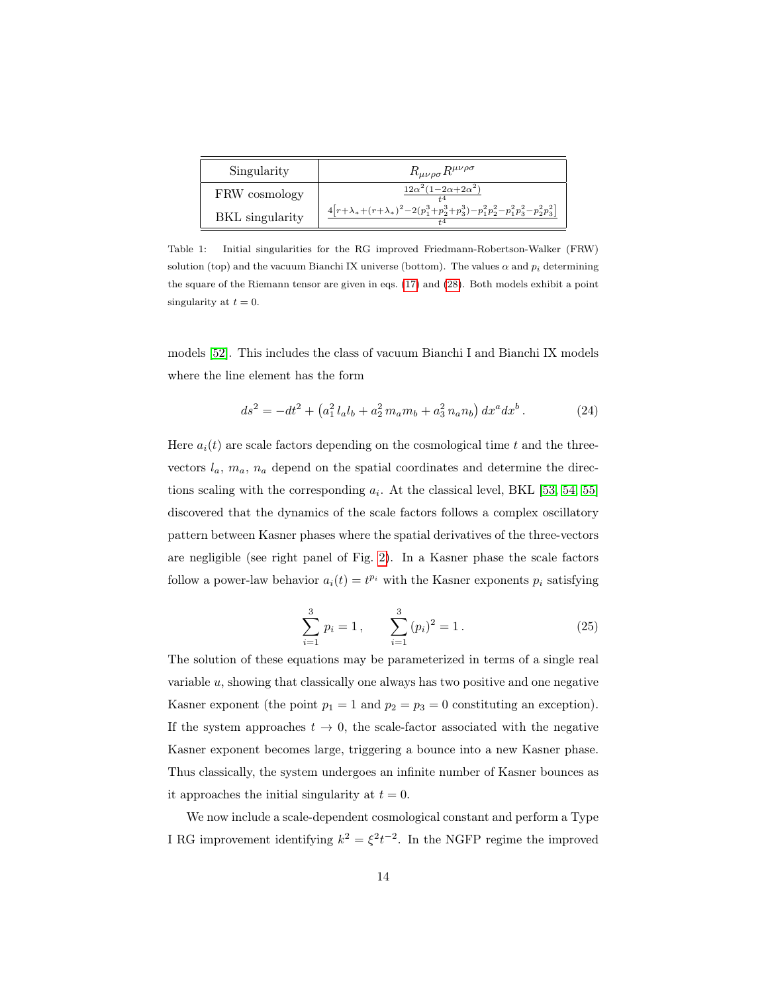| Singularity            | $R_{\mu\nu\rho\sigma}R^{\mu\nu\rho\sigma}$                                             |
|------------------------|----------------------------------------------------------------------------------------|
| FRW cosmology          | $12\alpha^2(1-2\alpha+2\alpha^2)$                                                      |
| <b>BKL</b> singularity | $4[r+\lambda_*+(r+\lambda_*)^2-2(p_1^3+p_2^3+p_3^3)-p_1^2p_2^2-p_1^2p_3^2-p_2^2p_3^2]$ |

<span id="page-13-0"></span>Table 1: Initial singularities for the RG improved Friedmann-Robertson-Walker (FRW) solution (top) and the vacuum Bianchi IX universe (bottom). The values  $\alpha$  and  $p_i$  determining the square of the Riemann tensor are given in eqs. [\(17\)](#page-9-3) and [\(28\)](#page-14-0). Both models exhibit a point singularity at  $t = 0$ .

models [\[52\]](#page-22-4). This includes the class of vacuum Bianchi I and Bianchi IX models where the line element has the form

$$
ds^{2} = -dt^{2} + (a_{1}^{2} l_{a} l_{b} + a_{2}^{2} m_{a} m_{b} + a_{3}^{2} n_{a} n_{b}) dx^{a} dx^{b}.
$$
 (24)

Here  $a_i(t)$  are scale factors depending on the cosmological time t and the threevectors  $l_a$ ,  $m_a$ ,  $n_a$  depend on the spatial coordinates and determine the directions scaling with the corresponding  $a_i$ . At the classical level, BKL [\[53,](#page-22-5) [54,](#page-22-6) [55\]](#page-22-7) discovered that the dynamics of the scale factors follows a complex oscillatory pattern between Kasner phases where the spatial derivatives of the three-vectors are negligible (see right panel of Fig. [2\)](#page-12-1). In a Kasner phase the scale factors follow a power-law behavior  $a_i(t) = t^{p_i}$  with the Kasner exponents  $p_i$  satisfying

$$
\sum_{i=1}^{3} p_i = 1, \qquad \sum_{i=1}^{3} (p_i)^2 = 1.
$$
 (25)

The solution of these equations may be parameterized in terms of a single real variable u, showing that classically one always has two positive and one negative Kasner exponent (the point  $p_1 = 1$  and  $p_2 = p_3 = 0$  constituting an exception). If the system approaches  $t \to 0$ , the scale-factor associated with the negative Kasner exponent becomes large, triggering a bounce into a new Kasner phase. Thus classically, the system undergoes an infinite number of Kasner bounces as it approaches the initial singularity at  $t = 0$ .

We now include a scale-dependent cosmological constant and perform a Type I RG improvement identifying  $k^2 = \xi^2 t^{-2}$ . In the NGFP regime the improved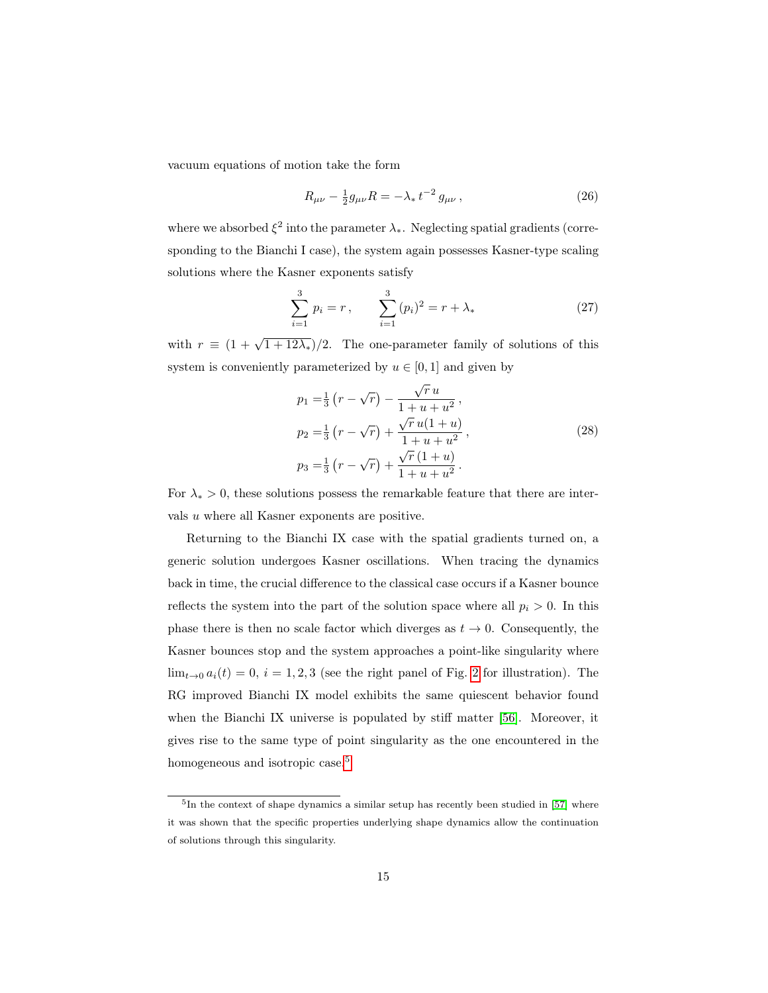vacuum equations of motion take the form

$$
R_{\mu\nu} - \frac{1}{2}g_{\mu\nu}R = -\lambda_* t^{-2} g_{\mu\nu}, \qquad (26)
$$

where we absorbed  $\xi^2$  into the parameter  $\lambda_*$ . Neglecting spatial gradients (corresponding to the Bianchi I case), the system again possesses Kasner-type scaling solutions where the Kasner exponents satisfy

$$
\sum_{i=1}^{3} p_i = r, \qquad \sum_{i=1}^{3} (p_i)^2 = r + \lambda_* \tag{27}
$$

with  $r \equiv (1 + \sqrt{1 + 12\lambda_*)}/2$ . The one-parameter family of solutions of this system is conveniently parameterized by  $u \in [0, 1]$  and given by

<span id="page-14-0"></span>
$$
p_1 = \frac{1}{3} \left( r - \sqrt{r} \right) - \frac{\sqrt{r} u}{1 + u + u^2},
$$
  
\n
$$
p_2 = \frac{1}{3} \left( r - \sqrt{r} \right) + \frac{\sqrt{r} u (1 + u)}{1 + u + u^2},
$$
  
\n
$$
p_3 = \frac{1}{3} \left( r - \sqrt{r} \right) + \frac{\sqrt{r} (1 + u)}{1 + u + u^2}.
$$
\n(28)

For  $\lambda_* > 0$ , these solutions possess the remarkable feature that there are intervals u where all Kasner exponents are positive.

Returning to the Bianchi IX case with the spatial gradients turned on, a generic solution undergoes Kasner oscillations. When tracing the dynamics back in time, the crucial difference to the classical case occurs if a Kasner bounce reflects the system into the part of the solution space where all  $p_i > 0$ . In this phase there is then no scale factor which diverges as  $t \to 0$ . Consequently, the Kasner bounces stop and the system approaches a point-like singularity where  $\lim_{t\to 0} a_i(t) = 0, i = 1, 2, 3$  $\lim_{t\to 0} a_i(t) = 0, i = 1, 2, 3$  $\lim_{t\to 0} a_i(t) = 0, i = 1, 2, 3$  (see the right panel of Fig. 2 for illustration). The RG improved Bianchi IX model exhibits the same quiescent behavior found when the Bianchi IX universe is populated by stiff matter [\[56\]](#page-22-8). Moreover, it gives rise to the same type of point singularity as the one encountered in the homogeneous and isotropic case.<sup>[5](#page-14-1)</sup>

<span id="page-14-1"></span><sup>&</sup>lt;sup>5</sup>In the context of shape dynamics a similar setup has recently been studied in [\[57\]](#page-22-9) where it was shown that the specific properties underlying shape dynamics allow the continuation of solutions through this singularity.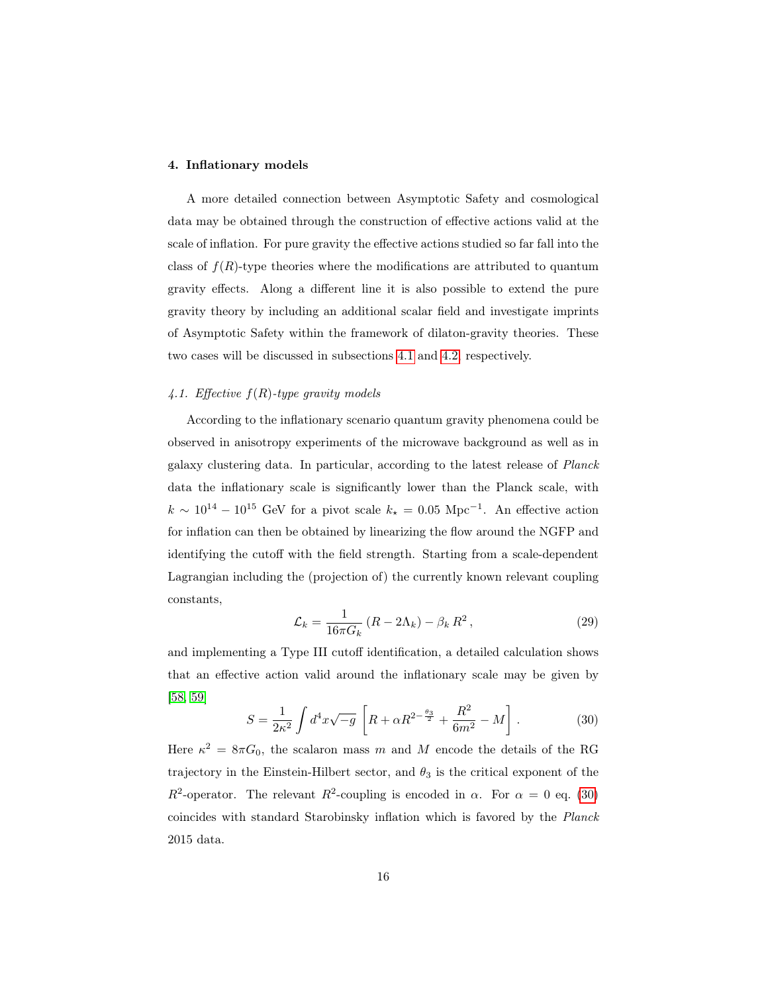#### <span id="page-15-0"></span>4. Inflationary models

A more detailed connection between Asymptotic Safety and cosmological data may be obtained through the construction of effective actions valid at the scale of inflation. For pure gravity the effective actions studied so far fall into the class of  $f(R)$ -type theories where the modifications are attributed to quantum gravity effects. Along a different line it is also possible to extend the pure gravity theory by including an additional scalar field and investigate imprints of Asymptotic Safety within the framework of dilaton-gravity theories. These two cases will be discussed in subsections [4.1](#page-15-1) and [4.2,](#page-17-0) respectively.

### <span id="page-15-1"></span>4.1. Effective  $f(R)$ -type gravity models

According to the inflationary scenario quantum gravity phenomena could be observed in anisotropy experiments of the microwave background as well as in galaxy clustering data. In particular, according to the latest release of Planck data the inflationary scale is significantly lower than the Planck scale, with  $k \sim 10^{14} - 10^{15}$  GeV for a pivot scale  $k_{\star} = 0.05$  Mpc<sup>-1</sup>. An effective action for inflation can then be obtained by linearizing the flow around the NGFP and identifying the cutoff with the field strength. Starting from a scale-dependent Lagrangian including the (projection of) the currently known relevant coupling constants,

$$
\mathcal{L}_k = \frac{1}{16\pi G_k} \left( R - 2\Lambda_k \right) - \beta_k R^2 \,, \tag{29}
$$

and implementing a Type III cutoff identification, a detailed calculation shows that an effective action valid around the inflationary scale may be given by [\[58,](#page-22-10) [59\]](#page-22-11)

<span id="page-15-2"></span>
$$
S = \frac{1}{2\kappa^2} \int d^4x \sqrt{-g} \left[ R + \alpha R^{2 - \frac{\theta_3}{2}} + \frac{R^2}{6m^2} - M \right].
$$
 (30)

Here  $\kappa^2 = 8\pi G_0$ , the scalaron mass m and M encode the details of the RG trajectory in the Einstein-Hilbert sector, and  $\theta_3$  is the critical exponent of the  $R^2$ -operator. The relevant  $R^2$ -coupling is encoded in  $\alpha$ . For  $\alpha = 0$  eq. [\(30\)](#page-15-2) coincides with standard Starobinsky inflation which is favored by the Planck 2015 data.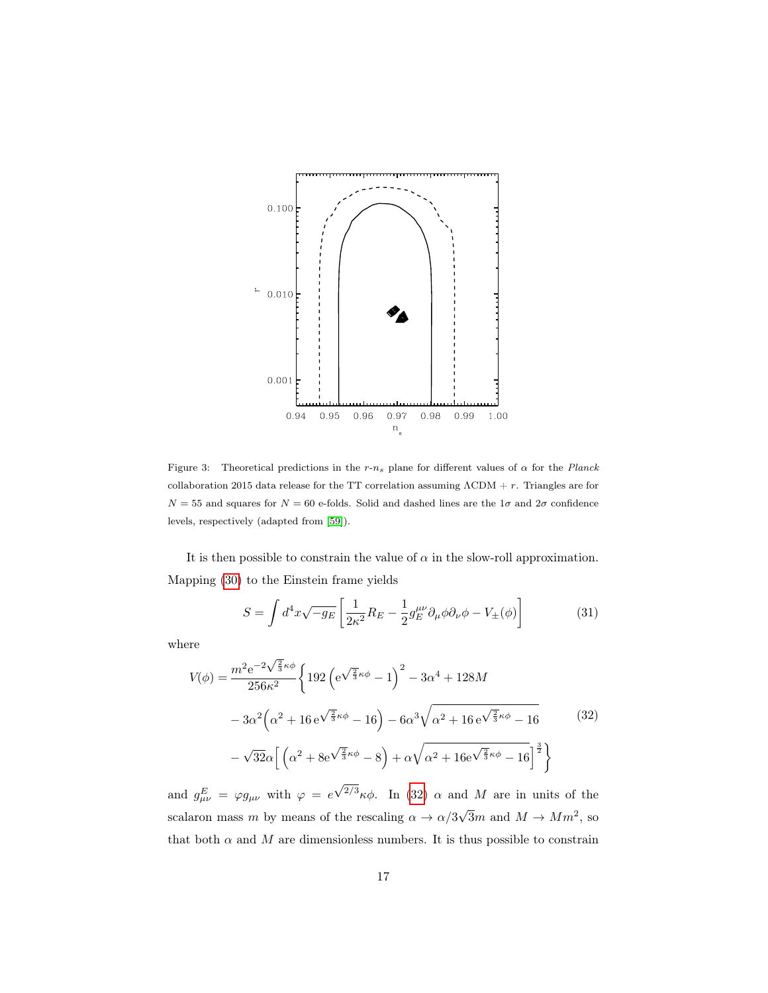

<span id="page-16-1"></span>Figure 3: Theoretical predictions in the  $r-n_s$  plane for different values of  $\alpha$  for the Planck collaboration 2015 data release for the TT correlation assuming  $\Lambda \text{CDM} + r$ . Triangles are for  $N = 55$  and squares for  $N = 60$  e-folds. Solid and dashed lines are the  $1\sigma$  and  $2\sigma$  confidence levels, respectively (adapted from [\[59\]](#page-22-11)).

It is then possible to constrain the value of  $\alpha$  in the slow-roll approximation. Mapping [\(30\)](#page-15-2) to the Einstein frame yields

$$
S = \int d^4x \sqrt{-g_E} \left[ \frac{1}{2\kappa^2} R_E - \frac{1}{2} g_E^{\mu\nu} \partial_\mu \phi \partial_\nu \phi - V_{\pm}(\phi) \right]
$$
(31)

where

<span id="page-16-0"></span>
$$
V(\phi) = \frac{m^2 e^{-2\sqrt{\frac{2}{3}}\kappa\phi}}{256\kappa^2} \left\{ 192 \left( e^{\sqrt{\frac{2}{3}}\kappa\phi} - 1 \right)^2 - 3\alpha^4 + 128M \right.- 3\alpha^2 \left( \alpha^2 + 16 e^{\sqrt{\frac{2}{3}}\kappa\phi} - 16 \right) - 6\alpha^3 \sqrt{\alpha^2 + 16 e^{\sqrt{\frac{2}{3}}\kappa\phi} - 16} \right. (32)- \sqrt{32}\alpha \left[ \left( \alpha^2 + 8 e^{\sqrt{\frac{2}{3}}\kappa\phi} - 8 \right) + \alpha \sqrt{\alpha^2 + 16 e^{\sqrt{\frac{2}{3}}\kappa\phi} - 16} \right]^{\frac{3}{2}} \right\}
$$

and  $g_{\mu\nu}^E = \varphi g_{\mu\nu}$  with  $\varphi = e$ <sup>2/3</sup>κφ. In [\(32\)](#page-16-0)  $\alpha$  and M are in units of the scalaron mass m by means of the rescaling  $\alpha \to \alpha/3$  $\sqrt{3}m$  and  $M \to Mm^2$ , so that both  $\alpha$  and M are dimensionless numbers. It is thus possible to constrain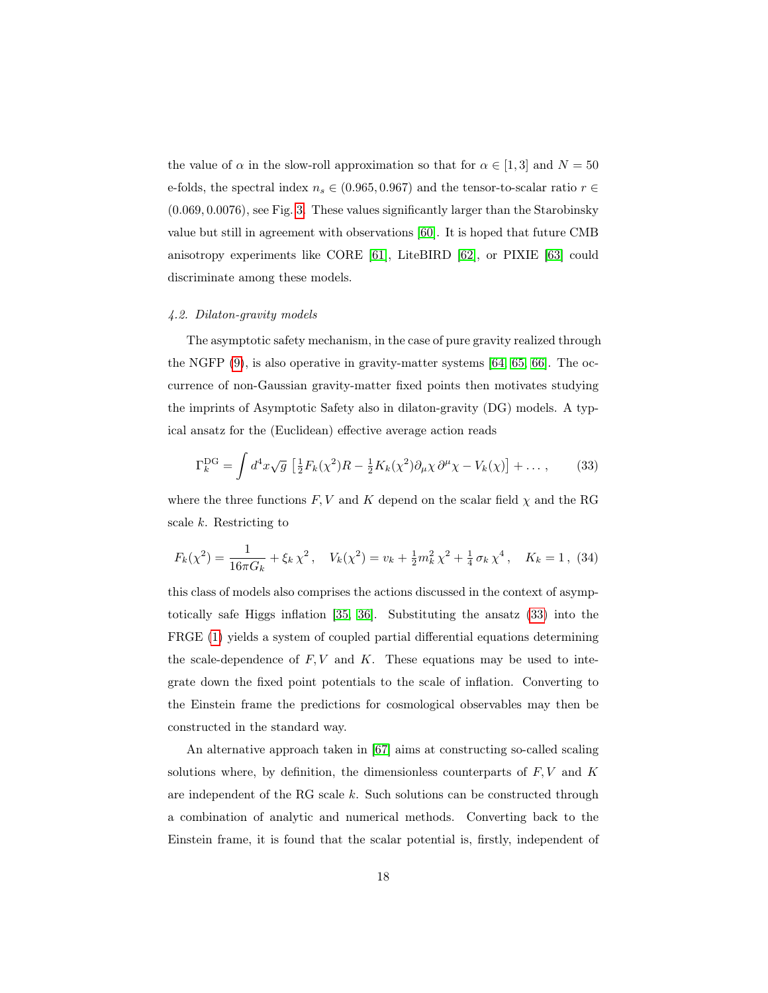the value of  $\alpha$  in the slow-roll approximation so that for  $\alpha \in [1,3]$  and  $N = 50$ e-folds, the spectral index  $n_s \in (0.965, 0.967)$  and the tensor-to-scalar ratio  $r \in$ (0.069, 0.0076), see Fig. [3.](#page-16-1) These values significantly larger than the Starobinsky value but still in agreement with observations [\[60\]](#page-22-12). It is hoped that future CMB anisotropy experiments like CORE [\[61\]](#page-22-13), LiteBIRD [\[62\]](#page-22-14), or PIXIE [\[63\]](#page-22-15) could discriminate among these models.

#### <span id="page-17-0"></span>4.2. Dilaton-gravity models

The asymptotic safety mechanism, in the case of pure gravity realized through the NGFP [\(9\)](#page-5-0), is also operative in gravity-matter systems [\[64,](#page-23-0) [65,](#page-23-1) [66\]](#page-23-2). The occurrence of non-Gaussian gravity-matter fixed points then motivates studying the imprints of Asymptotic Safety also in dilaton-gravity (DG) models. A typical ansatz for the (Euclidean) effective average action reads

<span id="page-17-1"></span>
$$
\Gamma_k^{\rm DG} = \int d^4x \sqrt{g} \left[ \frac{1}{2} F_k(\chi^2) R - \frac{1}{2} K_k(\chi^2) \partial_\mu \chi \, \partial^\mu \chi - V_k(\chi) \right] + \dots , \tag{33}
$$

where the three functions  $F, V$  and  $K$  depend on the scalar field  $\chi$  and the RG scale  $k$ . Restricting to

$$
F_k(\chi^2) = \frac{1}{16\pi G_k} + \xi_k \chi^2, \quad V_k(\chi^2) = v_k + \frac{1}{2}m_k^2 \chi^2 + \frac{1}{4}\sigma_k \chi^4, \quad K_k = 1, \tag{34}
$$

this class of models also comprises the actions discussed in the context of asymptotically safe Higgs inflation [\[35,](#page-21-3) [36\]](#page-21-4). Substituting the ansatz [\(33\)](#page-17-1) into the FRGE [\(1\)](#page-3-1) yields a system of coupled partial differential equations determining the scale-dependence of  $F, V$  and  $K$ . These equations may be used to integrate down the fixed point potentials to the scale of inflation. Converting to the Einstein frame the predictions for cosmological observables may then be constructed in the standard way.

An alternative approach taken in [\[67\]](#page-23-3) aims at constructing so-called scaling solutions where, by definition, the dimensionless counterparts of  $F, V$  and  $K$ are independent of the RG scale  $k$ . Such solutions can be constructed through a combination of analytic and numerical methods. Converting back to the Einstein frame, it is found that the scalar potential is, firstly, independent of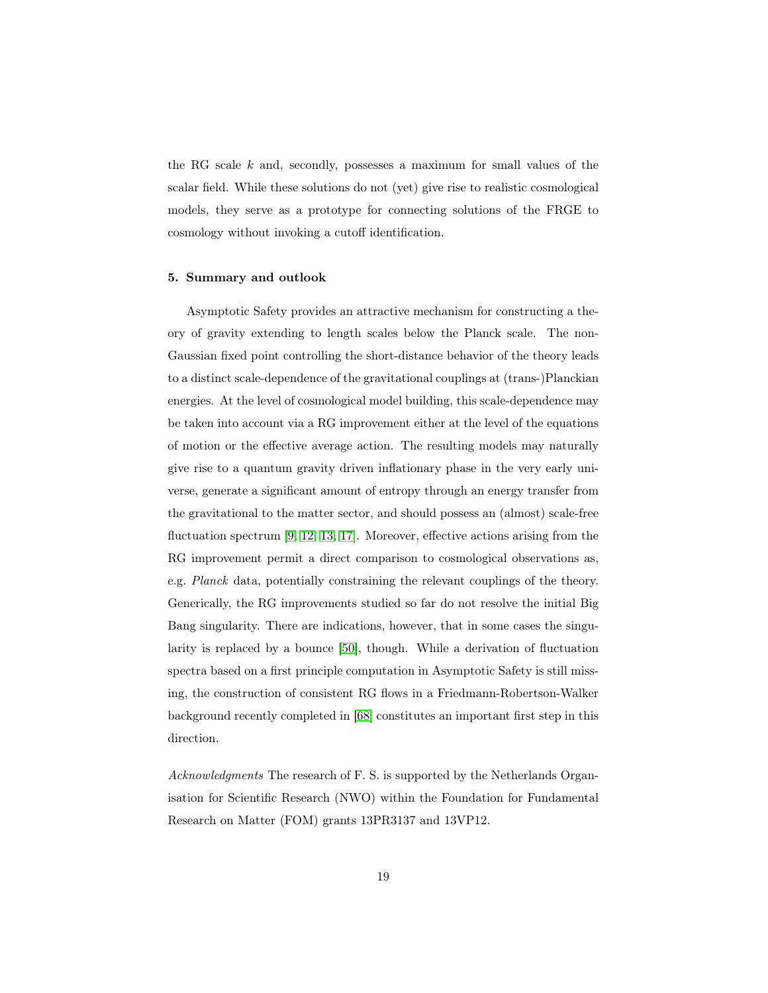the RG scale  $k$  and, secondly, possesses a maximum for small values of the scalar field. While these solutions do not (yet) give rise to realistic cosmological models, they serve as a prototype for connecting solutions of the FRGE to cosmology without invoking a cutoff identification.

#### <span id="page-18-0"></span>5. Summary and outlook

Asymptotic Safety provides an attractive mechanism for constructing a theory of gravity extending to length scales below the Planck scale. The non-Gaussian fixed point controlling the short-distance behavior of the theory leads to a distinct scale-dependence of the gravitational couplings at (trans-)Planckian energies. At the level of cosmological model building, this scale-dependence may be taken into account via a RG improvement either at the level of the equations of motion or the effective average action. The resulting models may naturally give rise to a quantum gravity driven inflationary phase in the very early universe, generate a significant amount of entropy through an energy transfer from the gravitational to the matter sector, and should possess an (almost) scale-free fluctuation spectrum [\[9,](#page-19-8) [12,](#page-19-11) [13,](#page-19-12) [17\]](#page-20-1). Moreover, effective actions arising from the RG improvement permit a direct comparison to cosmological observations as, e.g. Planck data, potentially constraining the relevant couplings of the theory. Generically, the RG improvements studied so far do not resolve the initial Big Bang singularity. There are indications, however, that in some cases the singularity is replaced by a bounce [\[50\]](#page-22-2), though. While a derivation of fluctuation spectra based on a first principle computation in Asymptotic Safety is still missing, the construction of consistent RG flows in a Friedmann-Robertson-Walker background recently completed in [\[68\]](#page-23-4) constitutes an important first step in this direction.

Acknowledgments The research of F. S. is supported by the Netherlands Organisation for Scientific Research (NWO) within the Foundation for Fundamental Research on Matter (FOM) grants 13PR3137 and 13VP12.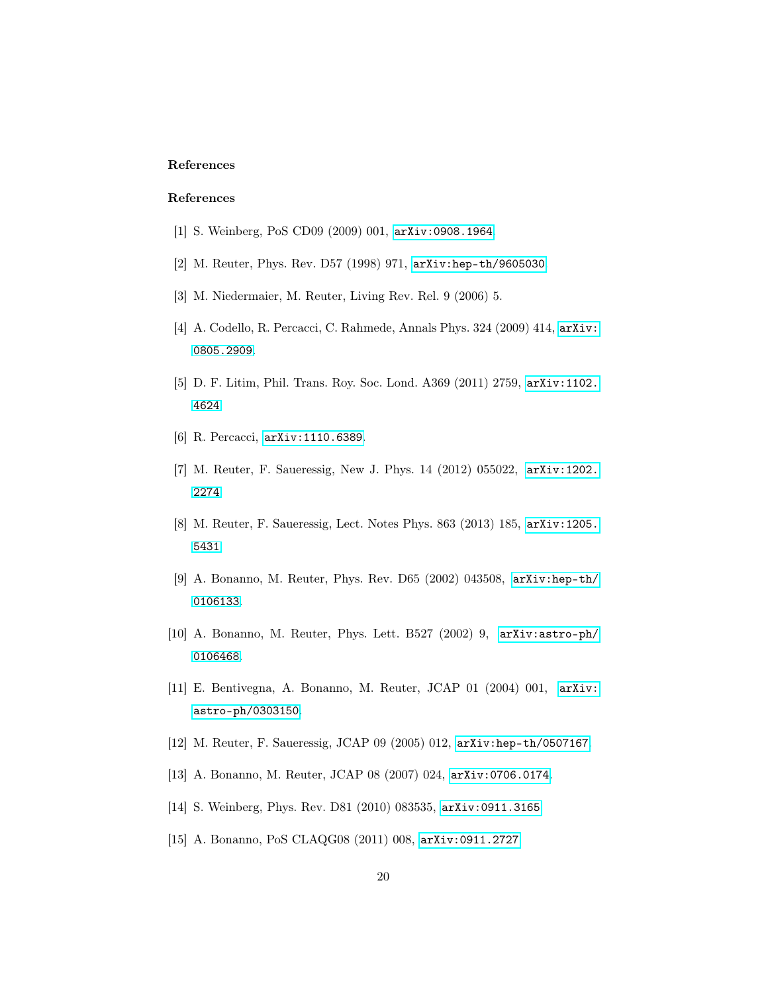# References

### References

- <span id="page-19-0"></span>[1] S. Weinberg, PoS CD09 (2009) 001, [arXiv:0908.1964](http://arxiv.org/abs/0908.1964).
- <span id="page-19-1"></span>[2] M. Reuter, Phys. Rev. D57 (1998) 971, [arXiv:hep-th/9605030](http://arxiv.org/abs/hep-th/9605030).
- <span id="page-19-2"></span>[3] M. Niedermaier, M. Reuter, Living Rev. Rel. 9 (2006) 5.
- <span id="page-19-3"></span>[4] A. Codello, R. Percacci, C. Rahmede, Annals Phys. 324 (2009) 414, [arXiv:](http://arxiv.org/abs/0805.2909) [0805.2909](http://arxiv.org/abs/0805.2909).
- <span id="page-19-4"></span>[5] D. F. Litim, Phil. Trans. Roy. Soc. Lond. A369 (2011) 2759, [arXiv:1102.](http://arxiv.org/abs/1102.4624) [4624](http://arxiv.org/abs/1102.4624).
- <span id="page-19-5"></span>[6] R. Percacci, [arXiv:1110.6389](http://arxiv.org/abs/1110.6389).
- <span id="page-19-6"></span>[7] M. Reuter, F. Saueressig, New J. Phys. 14 (2012) 055022, [arXiv:1202.](http://arxiv.org/abs/1202.2274) [2274](http://arxiv.org/abs/1202.2274).
- <span id="page-19-7"></span>[8] M. Reuter, F. Saueressig, Lect. Notes Phys. 863 (2013) 185, [arXiv:1205.](http://arxiv.org/abs/1205.5431) [5431](http://arxiv.org/abs/1205.5431).
- <span id="page-19-8"></span>[9] A. Bonanno, M. Reuter, Phys. Rev. D65 (2002) 043508, [arXiv:hep-th/](http://arxiv.org/abs/hep-th/0106133) [0106133](http://arxiv.org/abs/hep-th/0106133).
- <span id="page-19-9"></span>[10] A. Bonanno, M. Reuter, Phys. Lett. B527 (2002) 9, [arXiv:astro-ph/](http://arxiv.org/abs/astro-ph/0106468) [0106468](http://arxiv.org/abs/astro-ph/0106468).
- <span id="page-19-10"></span>[11] E. Bentivegna, A. Bonanno, M. Reuter, JCAP 01 (2004) 001, [arXiv:](http://arxiv.org/abs/astro-ph/0303150) [astro-ph/0303150](http://arxiv.org/abs/astro-ph/0303150).
- <span id="page-19-11"></span>[12] M. Reuter, F. Saueressig, JCAP 09 (2005) 012, [arXiv:hep-th/0507167](http://arxiv.org/abs/hep-th/0507167).
- <span id="page-19-12"></span>[13] A. Bonanno, M. Reuter, JCAP 08 (2007) 024, [arXiv:0706.0174](http://arxiv.org/abs/0706.0174).
- <span id="page-19-13"></span>[14] S. Weinberg, Phys. Rev. D81 (2010) 083535, [arXiv:0911.3165](http://arxiv.org/abs/0911.3165).
- <span id="page-19-14"></span>[15] A. Bonanno, PoS CLAQG08 (2011) 008, [arXiv:0911.2727](http://arxiv.org/abs/0911.2727).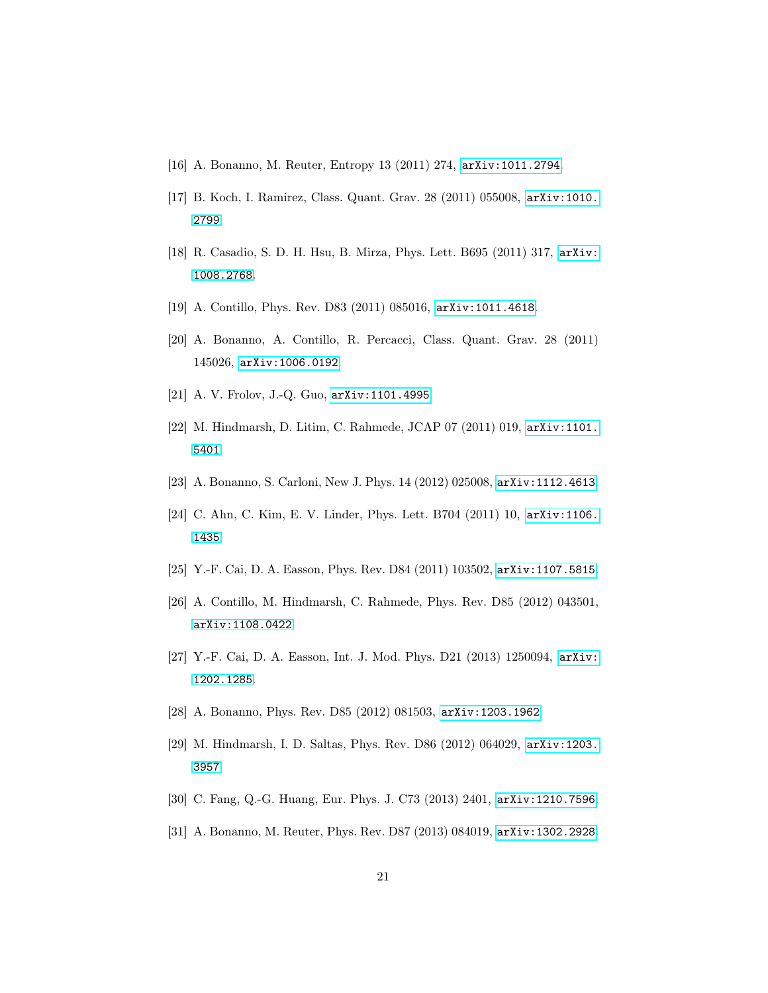- <span id="page-20-0"></span>[16] A. Bonanno, M. Reuter, Entropy 13 (2011) 274, [arXiv:1011.2794](http://arxiv.org/abs/1011.2794).
- <span id="page-20-1"></span>[17] B. Koch, I. Ramirez, Class. Quant. Grav. 28 (2011) 055008, [arXiv:1010.](http://arxiv.org/abs/1010.2799) [2799](http://arxiv.org/abs/1010.2799).
- <span id="page-20-2"></span>[18] R. Casadio, S. D. H. Hsu, B. Mirza, Phys. Lett. B695 (2011) 317, [arXiv:](http://arxiv.org/abs/1008.2768) [1008.2768](http://arxiv.org/abs/1008.2768).
- <span id="page-20-3"></span>[19] A. Contillo, Phys. Rev. D83 (2011) 085016, [arXiv:1011.4618](http://arxiv.org/abs/1011.4618).
- <span id="page-20-4"></span>[20] A. Bonanno, A. Contillo, R. Percacci, Class. Quant. Grav. 28 (2011) 145026, [arXiv:1006.0192](http://arxiv.org/abs/1006.0192).
- <span id="page-20-5"></span>[21] A. V. Frolov, J.-Q. Guo, [arXiv:1101.4995](http://arxiv.org/abs/1101.4995).
- <span id="page-20-6"></span>[22] M. Hindmarsh, D. Litim, C. Rahmede, JCAP 07 (2011) 019, [arXiv:1101.](http://arxiv.org/abs/1101.5401) [5401](http://arxiv.org/abs/1101.5401).
- <span id="page-20-7"></span>[23] A. Bonanno, S. Carloni, New J. Phys. 14 (2012) 025008, [arXiv:1112.4613](http://arxiv.org/abs/1112.4613).
- <span id="page-20-8"></span>[24] C. Ahn, C. Kim, E. V. Linder, Phys. Lett. B704 (2011) 10, [arXiv:1106.](http://arxiv.org/abs/1106.1435) [1435](http://arxiv.org/abs/1106.1435).
- <span id="page-20-9"></span>[25] Y.-F. Cai, D. A. Easson, Phys. Rev. D84 (2011) 103502, [arXiv:1107.5815](http://arxiv.org/abs/1107.5815).
- <span id="page-20-10"></span>[26] A. Contillo, M. Hindmarsh, C. Rahmede, Phys. Rev. D85 (2012) 043501, [arXiv:1108.0422](http://arxiv.org/abs/1108.0422).
- <span id="page-20-11"></span>[27] Y.-F. Cai, D. A. Easson, Int. J. Mod. Phys. D21 (2013) 1250094, [arXiv:](http://arxiv.org/abs/1202.1285) [1202.1285](http://arxiv.org/abs/1202.1285).
- <span id="page-20-12"></span>[28] A. Bonanno, Phys. Rev. D85 (2012) 081503, [arXiv:1203.1962](http://arxiv.org/abs/1203.1962).
- <span id="page-20-13"></span>[29] M. Hindmarsh, I. D. Saltas, Phys. Rev. D86 (2012) 064029, [arXiv:1203.](http://arxiv.org/abs/1203.3957) [3957](http://arxiv.org/abs/1203.3957).
- <span id="page-20-14"></span>[30] C. Fang, Q.-G. Huang, Eur. Phys. J. C73 (2013) 2401, [arXiv:1210.7596](http://arxiv.org/abs/1210.7596).
- <span id="page-20-15"></span>[31] A. Bonanno, M. Reuter, Phys. Rev. D87 (2013) 084019, [arXiv:1302.2928](http://arxiv.org/abs/1302.2928).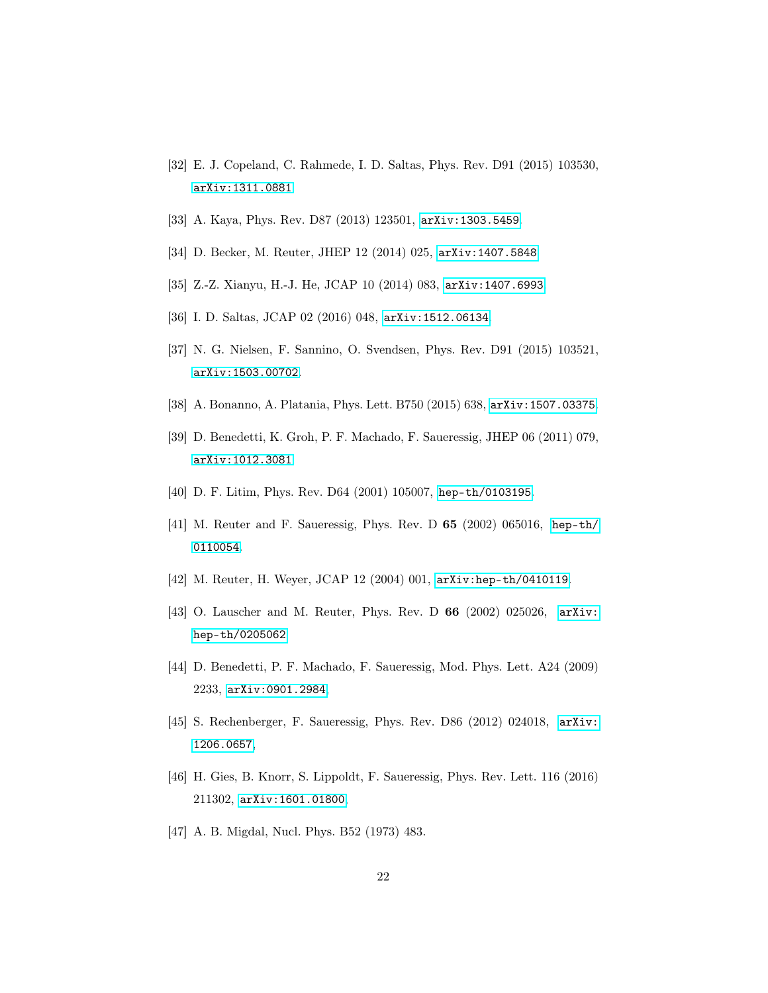- <span id="page-21-0"></span>[32] E. J. Copeland, C. Rahmede, I. D. Saltas, Phys. Rev. D91 (2015) 103530, [arXiv:1311.0881](http://arxiv.org/abs/1311.0881).
- <span id="page-21-1"></span>[33] A. Kaya, Phys. Rev. D87 (2013) 123501, [arXiv:1303.5459](http://arxiv.org/abs/1303.5459).
- <span id="page-21-2"></span>[34] D. Becker, M. Reuter, JHEP 12 (2014) 025, [arXiv:1407.5848](http://arxiv.org/abs/1407.5848).
- <span id="page-21-3"></span>[35] Z.-Z. Xianyu, H.-J. He, JCAP 10 (2014) 083, [arXiv:1407.6993](http://arxiv.org/abs/1407.6993).
- <span id="page-21-4"></span>[36] I. D. Saltas, JCAP 02 (2016) 048, [arXiv:1512.06134](http://arxiv.org/abs/1512.06134).
- <span id="page-21-5"></span>[37] N. G. Nielsen, F. Sannino, O. Svendsen, Phys. Rev. D91 (2015) 103521, [arXiv:1503.00702](http://arxiv.org/abs/1503.00702).
- <span id="page-21-6"></span>[38] A. Bonanno, A. Platania, Phys. Lett. B750 (2015) 638, [arXiv:1507.03375](http://arxiv.org/abs/1507.03375).
- <span id="page-21-7"></span>[39] D. Benedetti, K. Groh, P. F. Machado, F. Saueressig, JHEP 06 (2011) 079, [arXiv:1012.3081](http://arxiv.org/abs/1012.3081).
- <span id="page-21-8"></span>[40] D. F. Litim, Phys. Rev. D64 (2001) 105007, [hep-th/0103195](http://arxiv.org/abs/hep-th/0103195).
- <span id="page-21-9"></span>[41] M. Reuter and F. Saueressig, Phys. Rev. D 65 (2002) 065016, [hep-th/](http://arxiv.org/abs/hep-th/0110054) [0110054](http://arxiv.org/abs/hep-th/0110054).
- <span id="page-21-10"></span>[42] M. Reuter, H. Weyer, JCAP 12 (2004) 001, [arXiv:hep-th/0410119](http://arxiv.org/abs/hep-th/0410119).
- <span id="page-21-11"></span>[43] O. Lauscher and M. Reuter, Phys. Rev. D 66 (2002) 025026, [arXiv:](http://arxiv.org/abs/hep-th/0205062) [hep-th/0205062](http://arxiv.org/abs/hep-th/0205062).
- <span id="page-21-12"></span>[44] D. Benedetti, P. F. Machado, F. Saueressig, Mod. Phys. Lett. A24 (2009) 2233, [arXiv:0901.2984](http://arxiv.org/abs/0901.2984),
- <span id="page-21-13"></span>[45] S. Rechenberger, F. Saueressig, Phys. Rev. D86 (2012) 024018, [arXiv:](http://arxiv.org/abs/1206.0657) [1206.0657](http://arxiv.org/abs/1206.0657),
- <span id="page-21-14"></span>[46] H. Gies, B. Knorr, S. Lippoldt, F. Saueressig, Phys. Rev. Lett. 116 (2016) 211302, [arXiv:1601.01800](http://arxiv.org/abs/1601.01800),
- <span id="page-21-15"></span>[47] A. B. Migdal, Nucl. Phys. B52 (1973) 483.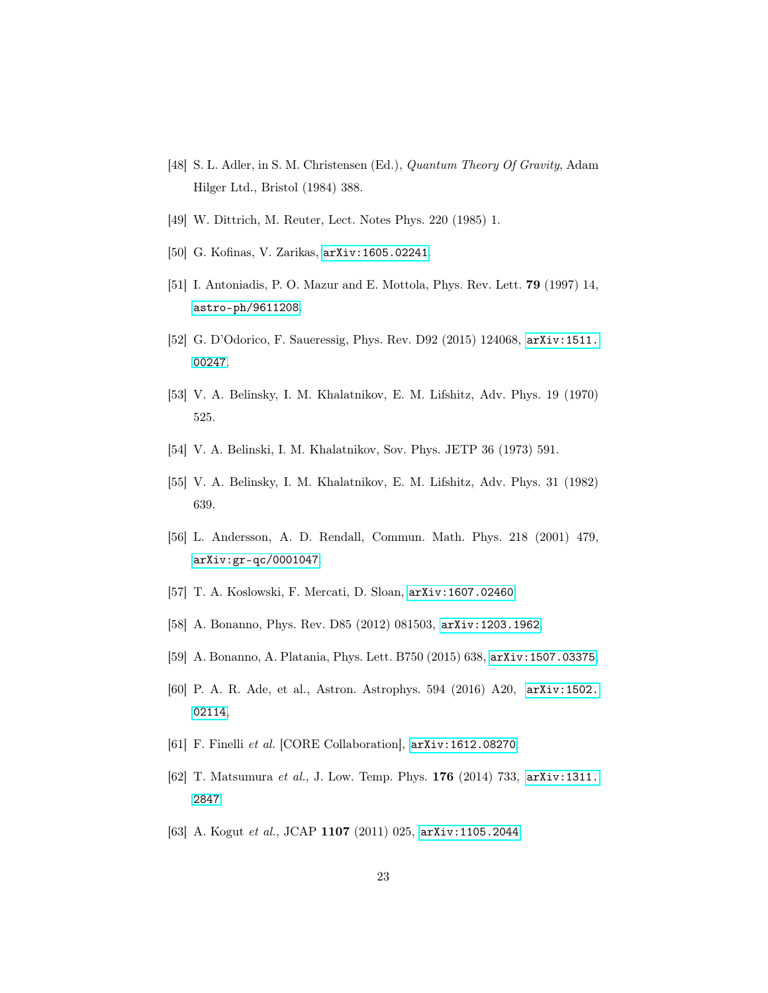- <span id="page-22-0"></span>[48] S. L. Adler, in S. M. Christensen (Ed.), Quantum Theory Of Gravity, Adam Hilger Ltd., Bristol (1984) 388.
- <span id="page-22-1"></span>[49] W. Dittrich, M. Reuter, Lect. Notes Phys. 220 (1985) 1.
- <span id="page-22-2"></span>[50] G. Kofinas, V. Zarikas, [arXiv:1605.02241](http://arxiv.org/abs/1605.02241).
- <span id="page-22-3"></span>[51] I. Antoniadis, P. O. Mazur and E. Mottola, Phys. Rev. Lett. 79 (1997) 14, [astro-ph/9611208](https://arxiv.org/pdf/astro-ph/9611208.pdf).
- <span id="page-22-4"></span>[52] G. D'Odorico, F. Saueressig, Phys. Rev. D92 (2015) 124068, [arXiv:1511.](http://arxiv.org/abs/1511.00247) [00247](http://arxiv.org/abs/1511.00247).
- <span id="page-22-5"></span>[53] V. A. Belinsky, I. M. Khalatnikov, E. M. Lifshitz, Adv. Phys. 19 (1970) 525.
- <span id="page-22-6"></span>[54] V. A. Belinski, I. M. Khalatnikov, Sov. Phys. JETP 36 (1973) 591.
- <span id="page-22-7"></span>[55] V. A. Belinsky, I. M. Khalatnikov, E. M. Lifshitz, Adv. Phys. 31 (1982) 639.
- <span id="page-22-8"></span>[56] L. Andersson, A. D. Rendall, Commun. Math. Phys. 218 (2001) 479, [arXiv:gr-qc/0001047](http://arxiv.org/abs/gr-qc/0001047).
- <span id="page-22-9"></span>[57] T. A. Koslowski, F. Mercati, D. Sloan, [arXiv:1607.02460](http://arxiv.org/abs/1607.02460).
- <span id="page-22-10"></span>[58] A. Bonanno, Phys. Rev. D85 (2012) 081503, [arXiv:1203.1962](http://arxiv.org/abs/1203.1962),
- <span id="page-22-11"></span>[59] A. Bonanno, A. Platania, Phys. Lett. B750 (2015) 638, [arXiv:1507.03375](http://arxiv.org/abs/1507.03375),
- <span id="page-22-12"></span>[60] P. A. R. Ade, et al., Astron. Astrophys. 594 (2016) A20, [arXiv:1502.](http://arxiv.org/abs/1502.02114) [02114](http://arxiv.org/abs/1502.02114),
- <span id="page-22-13"></span>[61] F. Finelli et al. [CORE Collaboration], [arXiv:1612.08270](https://arxiv.org/pdf/1612.08270.pdf).
- <span id="page-22-14"></span>[62] T. Matsumura et al., J. Low. Temp. Phys. 176 (2014) 733, [arXiv:1311.](https://arxiv.org/pdf/1311.2847.pdf) [2847](https://arxiv.org/pdf/1311.2847.pdf).
- <span id="page-22-15"></span>[63] A. Kogut et al., JCAP 1107 (2011) 025, [arXiv:1105.2044](https://arxiv.org/pdf/1105.2044.pdf).